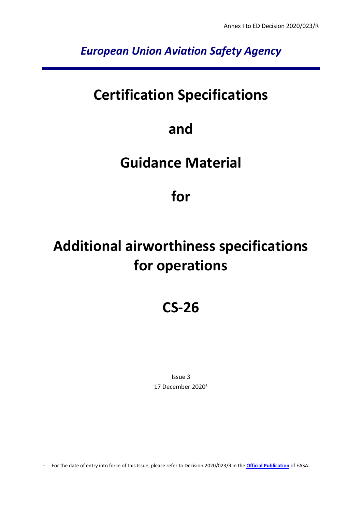*European Union Aviation Safety Agency*

# **Certification Specifications**

# **and**

# **Guidance Material**

# **for**

# **Additional airworthiness specifications for operations**

# **CS-26**

Issue 3 17 December 2020<sup>1</sup>

<sup>1</sup> For the date of entry into force of this Issue, please refer to Decision 2020/023/R in the **[Official Publication](http://easa.europa.eu/official-publication/)** of EASA.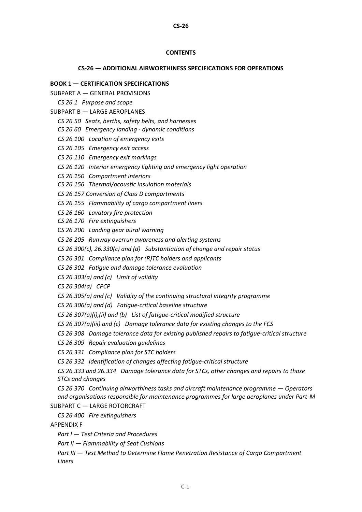#### **CONTENTS**

**CS-26**

#### **CS-26 — ADDITIONAL AIRWORTHINESS SPECIFICATIONS FOR OPERATIONS**

#### **BOOK 1 — CERTIFICATION SPECIFICATIONS**

- SUBPART A [GENERAL PROVISIONS](#page-7-0)
	- *[CS 26.1 Purpose and scope](#page-7-1)*
- SUBPART B [LARGE AEROPLANES](#page-8-0)
	- *[CS 26.50 Seats, berths, safety belts, and harnesses](#page-8-1)*
	- *CS 26.60 Emergency landing - dynamic conditions*
	- *[CS 26.100 Location of emergency exits](#page-9-0)*
	- *[CS 26.105 Emergency exit access](#page-10-0)*
	- *[CS 26.110 Emergency exit markings](#page-11-0)*
	- *[CS 26.120 Interior emergency lighting and emergency light operation](#page-12-0)*
	- *[CS 26.150 Compartment interiors](#page-15-0)*
	- *CS 26.156 Thermal/acoustic insulation materials*
	- *CS 26.157 Conversion of Class D compartments*
	- *[CS 26.155 Flammability of cargo compartment liners](#page-16-0)*
	- *[CS 26.160 Lavatory fire protection](#page-16-1)*
	- *CS 26.170 Fire extinguishers*
	- C*S [26.200 Landing gear aural warning](#page-17-0)*
	- *CS 26.205 Runway overrun awareness and alerting systems*
	- *CS 26.300(c), 26.330(c) and (d) Substantiation of change and repair status*
	- *CS 26.301 Compliance plan for (R)TC holders and applicants*
	- *CS 26.302 Fatigue and damage tolerance evaluation*
	- *CS 26.303(a) and (c) Limit of validity*
	- *CS 26.304(a) CPCP*
	- *CS 26.305(a) and (c) Validity of the continuing structural integrity programme*
	- *CS 26.306(a) and (d) Fatigue-critical baseline structure*
	- *CS 26.307(a)(i),(ii) and (b) List of fatigue-critical modified structure*
	- *CS 26.307(a)(iii) and (c) Damage tolerance data for existing changes to the FCS*
	- *CS 26.308 Damage tolerance data for existing published repairs to fatigue-critical structure*
	- *CS 26.309 Repair evaluation guidelines*
	- *CS 26.331 Compliance plan for STC holders*
	- *CS 26.332 Identification of changes affecting fatigue-critical structure*
	- *CS 26.333 and 26.334 Damage tolerance data for STCs, other changes and repairs to those STCs and changes*
- *CS 26.370 Continuing airworthiness tasks and aircraft maintenance programme Operators and organisations responsible for maintenance programmes for large aeroplanes under Part-M* SUBPART C — LARGE ROTORCRAFT
- *CS 26.400 Fire extinguishers*
- [APPENDIX F](#page-29-0)
	- *Part l — [Test Criteria and Procedures](#page-29-1)*
	- *Part II — [Flammability of Seat Cushions](#page-29-2)*
	- *Part III — [Test Method to Determine Flame Penetration Resistance of Cargo Compartment](#page-29-3)  [Liners](#page-29-3)*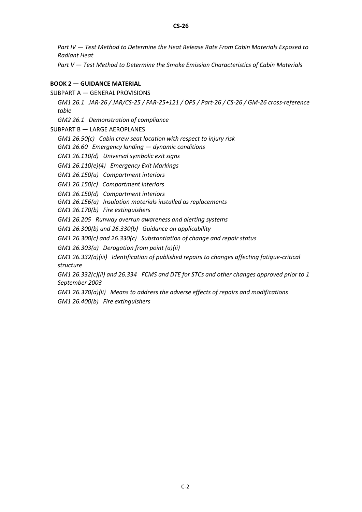*Part IV — [Test Method to Determine the Heat Release Rate From Cabin Materials Exposed to](#page-29-4)  [Radiant Heat](#page-29-4)*

*Part V — [Test Method to Determine the Smoke Emission Characteristics of Cabin Materials](#page-29-5)*

#### **BOOK 2 — GUIDANCE MATERIAL**

SUBPART A — [GENERAL PROVISIONS](#page-32-0)

*[GM1 26.1 JAR-26 / JAR/CS-25 / FAR-25+121 / OPS / Part-26 / CS-26 / GM-26 cross-reference](#page-32-1)  [table](#page-32-1)*

*[GM2 26.1 Demonstration of compliance](#page-35-0)*

SUBPART B — [LARGE AEROPLANES](#page-37-0)

*[GM1 26.50\(c\) Cabin crew seat location with respect to injury risk](#page-37-1)*

*GM1 26.60 Emergency landing — dynamic conditions*

*[GM1 26.110\(d\) Universal symbolic exit signs](#page-37-2)*

*[GM1 26.110\(e\)\(4\) Emergency Exit Markings](#page-37-3)*

*[GM1 26.150\(a\) Compartment interiors](#page-38-0)*

*[GM1 26.150\(c\) Compartment interiors](#page-38-1)*

*[GM1 26.150\(d\) Compartment interiors](#page-38-2)*

*GM1 26.156(a) Insulation materials installed as replacements*

*GM1 26.170(b) Fire extinguishers*

*GM1 26.205 Runway overrun awareness and alerting systems*

*GM1 26.300(b) and 26.330(b) Guidance on applicability*

*GM1 26.300(c) and 26.330(c) Substantiation of change and repair status* 

*GM1 26.303(a) Derogation from point (a)(ii)*

*GM1 26.332(a)(iii) Identification of published repairs to changes affecting fatigue-critical structure*

*GM1 26.332(c)(ii) and 26.334 FCMS and DTE for STCs and other changes approved prior to 1 September 2003*

*GM1 26.370(a)(ii) Means to address the adverse effects of repairs and modifications GM1 26.400(b) Fire extinguishers*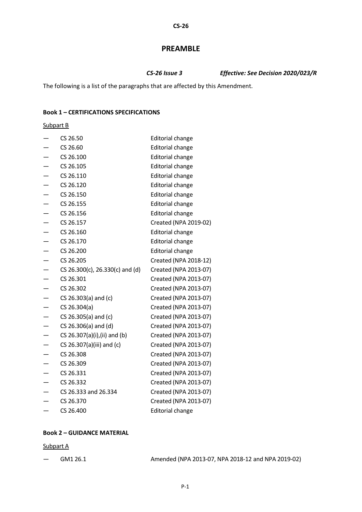# **PREAMBLE**

*CS-26 Issue 3 Effective: See Decision 2020/023/R*

The following is a list of the paragraphs that are affected by this Amendment.

### **Book 1 – CERTIFICATIONS SPECIFICATIONS**

Subpart B

| CS 26.50                        | <b>Editorial change</b> |
|---------------------------------|-------------------------|
| CS 26.60                        | <b>Editorial change</b> |
| CS 26.100                       | <b>Editorial change</b> |
| CS 26.105                       | <b>Editorial change</b> |
| CS 26.110                       | <b>Editorial change</b> |
| CS 26.120                       | <b>Editorial change</b> |
| CS 26.150                       | <b>Editorial change</b> |
| CS 26.155                       | <b>Editorial change</b> |
| CS 26.156                       | <b>Editorial change</b> |
| CS 26.157                       | Created (NPA 2019-02)   |
| CS 26.160                       | <b>Editorial change</b> |
| CS 26.170                       | <b>Editorial change</b> |
| CS 26.200                       | <b>Editorial change</b> |
| CS 26.205                       | Created (NPA 2018-12)   |
| CS 26.300(c), 26.330(c) and (d) | Created (NPA 2013-07)   |
| CS 26.301                       | Created (NPA 2013-07)   |
| CS 26.302                       | Created (NPA 2013-07)   |
| $CS$ 26.303(a) and (c)          | Created (NPA 2013-07)   |
| CS 26.304(a)                    | Created (NPA 2013-07)   |
| CS 26.305(a) and (c)            | Created (NPA 2013-07)   |
| CS 26.306(a) and (d)            | Created (NPA 2013-07)   |
| CS 26.307(a)(i),(ii) and (b)    | Created (NPA 2013-07)   |
| CS 26.307(a)(iii) and (c)       | Created (NPA 2013-07)   |
| CS 26.308                       | Created (NPA 2013-07)   |
| CS 26.309                       | Created (NPA 2013-07)   |
| CS 26.331                       | Created (NPA 2013-07)   |
| CS 26.332                       | Created (NPA 2013-07)   |
| CS 26.333 and 26.334            | Created (NPA 2013-07)   |
| CS 26.370                       | Created (NPA 2013-07)   |
| CS 26.400                       | <b>Editorial change</b> |

#### **Book 2 – GUIDANCE MATERIAL**

#### Subpart A

| GM1 26.1 | Amended (NPA 2013-07, NPA 2018-12 and NPA 2019-02) |
|----------|----------------------------------------------------|
|----------|----------------------------------------------------|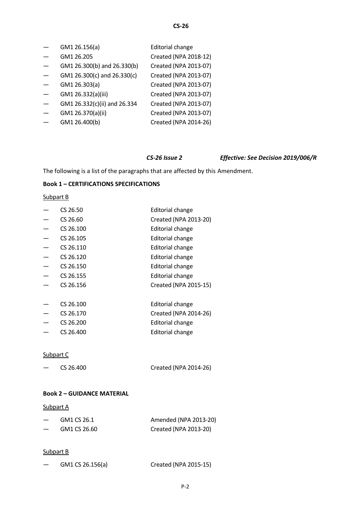| GM1 26.156(a)                | <b>Editorial change</b> |
|------------------------------|-------------------------|
| GM1 26.205                   | Created (NPA 2018-12)   |
| GM1 26.300(b) and 26.330(b)  | Created (NPA 2013-07)   |
| GM1 26.300(c) and 26.330(c)  | Created (NPA 2013-07)   |
| GM1 26.303(a)                | Created (NPA 2013-07)   |
| GM1 26.332(a)(iii)           | Created (NPA 2013-07)   |
| GM1 26.332(c)(ii) and 26.334 | Created (NPA 2013-07)   |
| GM1 26.370(a)(ii)            | Created (NPA 2013-07)   |
| GM1 26.400(b)                | Created (NPA 2014-26)   |

# *CS-26 Issue 2 Effective: See Decision 2019/006/R*

The following is a list of the paragraphs that are affected by this Amendment.

# **Book 1 – CERTIFICATIONS SPECIFICATIONS**

### Subpart B

| CS 26.50  | <b>Editorial change</b> |
|-----------|-------------------------|
| CS 26.60  | Created (NPA 2013-20)   |
| CS 26.100 | <b>Editorial change</b> |
| CS 26.105 | Editorial change        |
| CS 26.110 | <b>Editorial change</b> |
| CS 26.120 | Editorial change        |
| CS 26.150 | <b>Editorial change</b> |
| CS 26.155 | <b>Editorial change</b> |
| CS 26.156 | Created (NPA 2015-15)   |
|           |                         |
| CS 26.100 | <b>Editorial change</b> |
| CS 26.170 | Created (NPA 2014-26)   |
| CS 26.200 | <b>Editorial change</b> |
| CS 26.400 | <b>Editorial change</b> |

#### Subpart C

| Created (NPA 2014-26) |
|-----------------------|
|                       |

# **Book 2 – GUIDANCE MATERIAL**

### Subpart A

|                          | GM1 CS 26.1  | Amended (NPA 2013-20) |
|--------------------------|--------------|-----------------------|
| $\overline{\phantom{0}}$ | GM1 CS 26.60 | Created (NPA 2013-20) |

# Subpart B

|  | GM1 CS 26.156(a) | Created (NPA 2015-15) |
|--|------------------|-----------------------|
|--|------------------|-----------------------|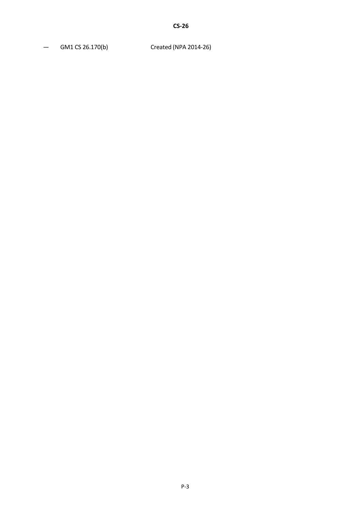— GM1 CS 26.170(b) Created (NPA 2014-26)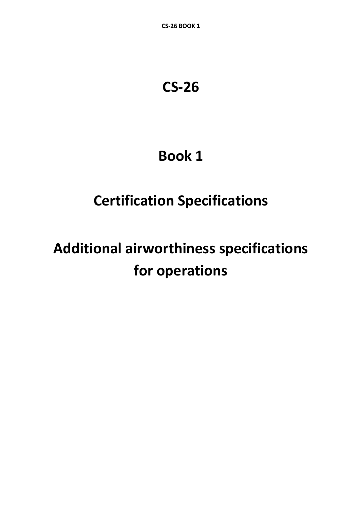# **CS-26**

# **Book 1**

# **Certification Specifications**

# **Additional airworthiness specifications for operations**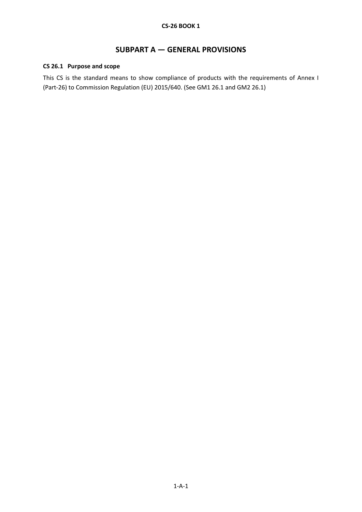# **SUBPART A — GENERAL PROVISIONS**

# <span id="page-7-1"></span><span id="page-7-0"></span>**CS 26.1 Purpose and scope**

This CS is the standard means to show compliance of products with the requirements of Annex I (Part-26) to Commission Regulation (EU) 2015/640. (See GM1 26.1 and GM2 26.1)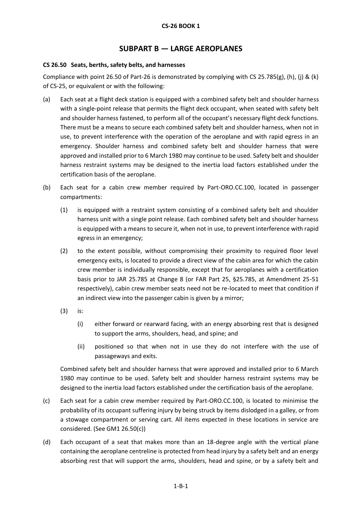# **SUBPART B — LARGE AEROPLANES**

### <span id="page-8-1"></span><span id="page-8-0"></span>**CS 26.50 Seats, berths, safety belts, and harnesses**

Compliance with point 26.50 of Part-26 is demonstrated by complying with CS 25.785(g), (h), (j) & (k) of CS-25, or equivalent or with the following:

- (a) Each seat at a flight deck station is equipped with a combined safety belt and shoulder harness with a single-point release that permits the flight deck occupant, when seated with safety belt and shoulder harness fastened, to perform all of the occupant's necessary flight deck functions. There must be a means to secure each combined safety belt and shoulder harness, when not in use, to prevent interference with the operation of the aeroplane and with rapid egress in an emergency. Shoulder harness and combined safety belt and shoulder harness that were approved and installed prior to 6 March 1980 may continue to be used. Safety belt and shoulder harness restraint systems may be designed to the inertia load factors established under the certification basis of the aeroplane.
- (b) Each seat for a cabin crew member required by Part-ORO.CC.100, located in passenger compartments:
	- (1) is equipped with a restraint system consisting of a combined safety belt and shoulder harness unit with a single point release. Each combined safety belt and shoulder harness is equipped with a means to secure it, when not in use, to prevent interference with rapid egress in an emergency;
	- (2) to the extent possible, without compromising their proximity to required floor level emergency exits, is located to provide a direct view of the cabin area for which the cabin crew member is individually responsible, except that for aeroplanes with a certification basis prior to JAR 25.785 at Change 8 (or FAR Part 25, §25.785, at Amendment 25-51 respectively), cabin crew member seats need not be re-located to meet that condition if an indirect view into the passenger cabin is given by a mirror;
	- (3) is:
		- (i) either forward or rearward facing, with an energy absorbing rest that is designed to support the arms, shoulders, head, and spine; and
		- (ii) positioned so that when not in use they do not interfere with the use of passageways and exits.

Combined safety belt and shoulder harness that were approved and installed prior to 6 March 1980 may continue to be used. Safety belt and shoulder harness restraint systems may be designed to the inertia load factors established under the certification basis of the aeroplane.

- (c) Each seat for a cabin crew member required by Part-ORO.CC.100, is located to minimise the probability of its occupant suffering injury by being struck by items dislodged in a galley, or from a stowage compartment or serving cart. All items expected in these locations in service are considered. (See GM1 26.50(c))
- (d) Each occupant of a seat that makes more than an 18-degree angle with the vertical plane containing the aeroplane centreline is protected from head injury by a safety belt and an energy absorbing rest that will support the arms, shoulders, head and spine, or by a safety belt and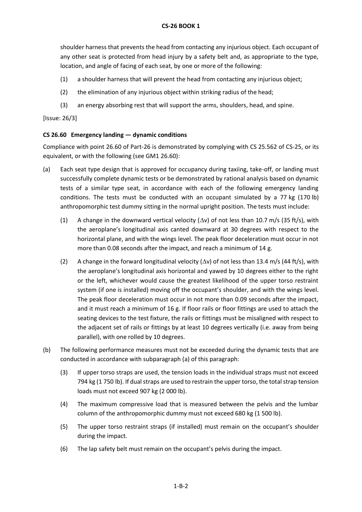shoulder harness that prevents the head from contacting any injurious object. Each occupant of any other seat is protected from head injury by a safety belt and, as appropriate to the type, location, and angle of facing of each seat, by one or more of the following:

- (1) a shoulder harness that will prevent the head from contacting any injurious object;
- (2) the elimination of any injurious object within striking radius of the head;
- (3) an energy absorbing rest that will support the arms, shoulders, head, and spine.

[Issue: 26/3]

### <span id="page-9-0"></span>**CS 26.60 Emergency landing — dynamic conditions**

Compliance with point 26.60 of Part-26 is demonstrated by complying with CS 25.562 of CS-25, or its equivalent, or with the following (see GM1 26.60):

- (a) Each seat type design that is approved for occupancy during taxiing, take-off, or landing must successfully complete dynamic tests or be demonstrated by rational analysis based on dynamic tests of a similar type seat, in accordance with each of the following emergency landing conditions. The tests must be conducted with an occupant simulated by a 77 kg (170 lb) anthropomorphic test dummy sitting in the normal upright position. The tests must include:
	- (1) A change in the downward vertical velocity  $(\Delta v)$  of not less than 10.7 m/s (35 ft/s), with the aeroplane's longitudinal axis canted downward at 30 degrees with respect to the horizontal plane, and with the wings level. The peak floor deceleration must occur in not more than 0.08 seconds after the impact, and reach a minimum of 14 g.
	- (2) A change in the forward longitudinal velocity ( $\Delta v$ ) of not less than 13.4 m/s (44 ft/s), with the aeroplane's longitudinal axis horizontal and yawed by 10 degrees either to the right or the left, whichever would cause the greatest likelihood of the upper torso restraint system (if one is installed) moving off the occupant's shoulder, and with the wings level. The peak floor deceleration must occur in not more than 0.09 seconds after the impact, and it must reach a minimum of 16 g. If floor rails or floor fittings are used to attach the seating devices to the test fixture, the rails or fittings must be misaligned with respect to the adjacent set of rails or fittings by at least 10 degrees vertically (i.e. away from being parallel), with one rolled by 10 degrees.
- (b) The following performance measures must not be exceeded during the dynamic tests that are conducted in accordance with subparagraph (a) of this paragraph:
	- (3) If upper torso straps are used, the tension loads in the individual straps must not exceed 794 kg (1 750 lb). If dual straps are used to restrain the upper torso, the total strap tension loads must not exceed 907 kg (2 000 lb).
	- (4) The maximum compressive load that is measured between the pelvis and the lumbar column of the anthropomorphic dummy must not exceed 680 kg (1 500 lb).
	- (5) The upper torso restraint straps (if installed) must remain on the occupant's shoulder during the impact.
	- (6) The lap safety belt must remain on the occupant's pelvis during the impact.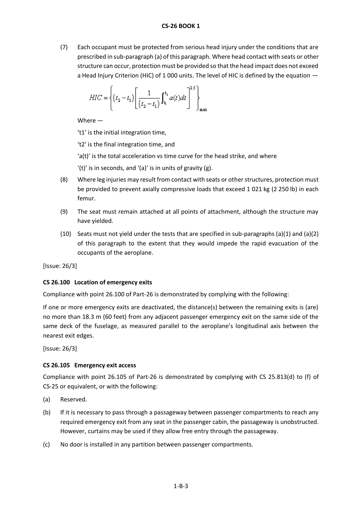(7) Each occupant must be protected from serious head injury under the conditions that are prescribed in sub-paragraph (a) of this paragraph. Where head contact with seats or other structure can occur, protection must be provided so that the head impact does not exceed a Head Injury Criterion (HIC) of 1 000 units. The level of HIC is defined by the equation —

$$
HIC = \left\{ (t_2 - t_1) \left[ \frac{1}{(t_2 - t_1)} \int_{t_1}^{t_2} a(t) dt \right]^{2S} \right\}_{\text{max}}
$$

Where —

't1' is the initial integration time,

't2' is the final integration time, and

'a(t)' is the total acceleration vs time curve for the head strike, and where

'(t)' is in seconds, and '(a)' is in units of gravity  $(g)$ .

- (8) Where leg injuries may result from contact with seats or other structures, protection must be provided to prevent axially compressive loads that exceed 1 021 kg (2 250 lb) in each femur.
- (9) The seat must remain attached at all points of attachment, although the structure may have yielded.
- (10) Seats must not yield under the tests that are specified in sub-paragraphs (a)(1) and (a)(2) of this paragraph to the extent that they would impede the rapid evacuation of the occupants of the aeroplane.

[Issue: 26/3]

# **CS 26.100 Location of emergency exits**

Compliance with point 26.100 of Part-26 is demonstrated by complying with the following:

If one or more emergency exits are deactivated, the distance(s) between the remaining exits is (are) no more than 18.3 m (60 feet) from any adjacent passenger emergency exit on the same side of the same deck of the fuselage, as measured parallel to the aeroplane's longitudinal axis between the nearest exit edges.

[Issue: 26/3]

#### <span id="page-10-0"></span>**CS 26.105 Emergency exit access**

Compliance with point 26.105 of Part-26 is demonstrated by complying with CS 25.813(d) to (f) of CS-25 or equivalent, or with the following:

- (a) Reserved.
- (b) If it is necessary to pass through a passageway between passenger compartments to reach any required emergency exit from any seat in the passenger cabin, the passageway is unobstructed. However, curtains may be used if they allow free entry through the passageway.
- (c) No door is installed in any partition between passenger compartments.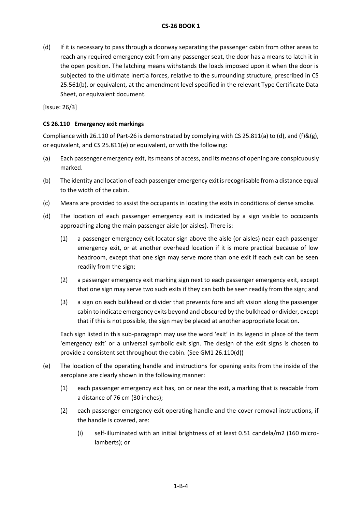(d) If it is necessary to pass through a doorway separating the passenger cabin from other areas to reach any required emergency exit from any passenger seat, the door has a means to latch it in the open position. The latching means withstands the loads imposed upon it when the door is subjected to the ultimate inertia forces, relative to the surrounding structure, prescribed in CS 25.561(b), or equivalent, at the amendment level specified in the relevant Type Certificate Data Sheet, or equivalent document.

[Issue: 26/3]

### <span id="page-11-0"></span>**CS 26.110 Emergency exit markings**

Compliance with 26.110 of Part-26 is demonstrated by complying with CS 25.811(a) to (d), and (f)&(g), or equivalent, and CS 25.811(e) or equivalent, or with the following:

- (a) Each passenger emergency exit, its means of access, and its means of opening are conspicuously marked.
- (b) The identity and location of each passenger emergency exit is recognisable from a distance equal to the width of the cabin.
- (c) Means are provided to assist the occupants in locating the exits in conditions of dense smoke.
- (d) The location of each passenger emergency exit is indicated by a sign visible to occupants approaching along the main passenger aisle (or aisles). There is:
	- (1) a passenger emergency exit locator sign above the aisle (or aisles) near each passenger emergency exit, or at another overhead location if it is more practical because of low headroom, except that one sign may serve more than one exit if each exit can be seen readily from the sign;
	- (2) a passenger emergency exit marking sign next to each passenger emergency exit, except that one sign may serve two such exits if they can both be seen readily from the sign; and
	- (3) a sign on each bulkhead or divider that prevents fore and aft vision along the passenger cabin to indicate emergency exits beyond and obscured by the bulkhead or divider, except that if this is not possible, the sign may be placed at another appropriate location.

Each sign listed in this sub-paragraph may use the word 'exit' in its legend in place of the term 'emergency exit' or a universal symbolic exit sign. The design of the exit signs is chosen to provide a consistent set throughout the cabin. (See GM1 26.110(d))

- (e) The location of the operating handle and instructions for opening exits from the inside of the aeroplane are clearly shown in the following manner:
	- (1) each passenger emergency exit has, on or near the exit, a marking that is readable from a distance of 76 cm (30 inches);
	- (2) each passenger emergency exit operating handle and the cover removal instructions, if the handle is covered, are:
		- (i) self-illuminated with an initial brightness of at least 0.51 candela/m2 (160 microlamberts); or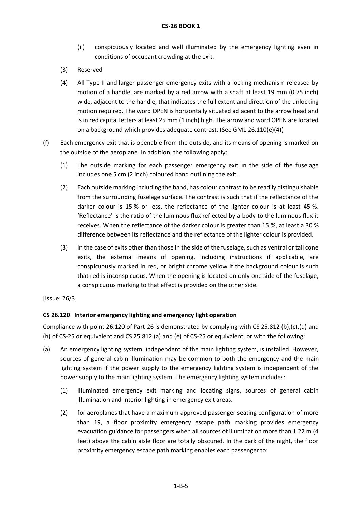- (ii) conspicuously located and well illuminated by the emergency lighting even in conditions of occupant crowding at the exit.
- (3) Reserved
- (4) All Type II and larger passenger emergency exits with a locking mechanism released by motion of a handle, are marked by a red arrow with a shaft at least 19 mm (0.75 inch) wide, adjacent to the handle, that indicates the full extent and direction of the unlocking motion required. The word OPEN is horizontally situated adjacent to the arrow head and is in red capital letters at least 25 mm (1 inch) high. The arrow and word OPEN are located on a background which provides adequate contrast. (See GM1 26.110(e)(4))
- (f) Each emergency exit that is openable from the outside, and its means of opening is marked on the outside of the aeroplane. In addition, the following apply:
	- (1) The outside marking for each passenger emergency exit in the side of the fuselage includes one 5 cm (2 inch) coloured band outlining the exit.
	- (2) Each outside marking including the band, has colour contrast to be readily distinguishable from the surrounding fuselage surface. The contrast is such that if the reflectance of the darker colour is 15 % or less, the reflectance of the lighter colour is at least 45 %. 'Reflectance' is the ratio of the luminous flux reflected by a body to the luminous flux it receives. When the reflectance of the darker colour is greater than 15 %, at least a 30 % difference between its reflectance and the reflectance of the lighter colour is provided.
	- (3) In the case of exits other than those in the side of the fuselage, such as ventral or tail cone exits, the external means of opening, including instructions if applicable, are conspicuously marked in red, or bright chrome yellow if the background colour is such that red is inconspicuous. When the opening is located on only one side of the fuselage, a conspicuous marking to that effect is provided on the other side.

# <span id="page-12-0"></span>**CS 26.120 Interior emergency lighting and emergency light operation**

Compliance with point 26.120 of Part-26 is demonstrated by complying with CS 25.812 (b),(c),(d) and (h) of CS-25 or equivalent and CS 25.812 (a) and (e) of CS-25 or equivalent, or with the following:

- (a) An emergency lighting system, independent of the main lighting system, is installed. However, sources of general cabin illumination may be common to both the emergency and the main lighting system if the power supply to the emergency lighting system is independent of the power supply to the main lighting system. The emergency lighting system includes:
	- (1) Illuminated emergency exit marking and locating signs, sources of general cabin illumination and interior lighting in emergency exit areas.
	- (2) for aeroplanes that have a maximum approved passenger seating configuration of more than 19, a floor proximity emergency escape path marking provides emergency evacuation guidance for passengers when all sources of illumination more than 1.22 m (4 feet) above the cabin aisle floor are totally obscured. In the dark of the night, the floor proximity emergency escape path marking enables each passenger to: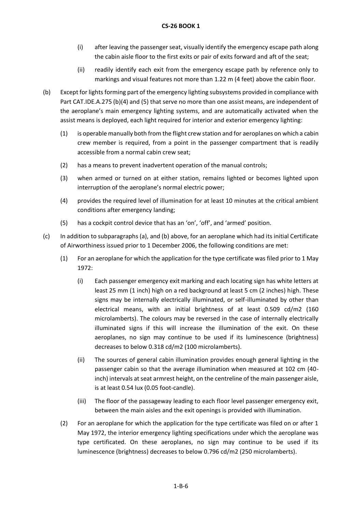- (i) after leaving the passenger seat, visually identify the emergency escape path along the cabin aisle floor to the first exits or pair of exits forward and aft of the seat;
- (ii) readily identify each exit from the emergency escape path by reference only to markings and visual features not more than 1.22 m (4 feet) above the cabin floor.
- (b) Except for lights forming part of the emergency lighting subsystems provided in compliance with Part CAT.IDE.A.275 (b)(4) and (5) that serve no more than one assist means, are independent of the aeroplane's main emergency lighting systems, and are automatically activated when the assist means is deployed, each light required for interior and exterior emergency lighting:
	- (1) is operable manually both from the flight crew station and for aeroplanes on which a cabin crew member is required, from a point in the passenger compartment that is readily accessible from a normal cabin crew seat;
	- (2) has a means to prevent inadvertent operation of the manual controls;
	- (3) when armed or turned on at either station, remains lighted or becomes lighted upon interruption of the aeroplane's normal electric power;
	- (4) provides the required level of illumination for at least 10 minutes at the critical ambient conditions after emergency landing;
	- (5) has a cockpit control device that has an 'on', 'off', and 'armed' position.
- (c) In addition to subparagraphs (a), and (b) above, for an aeroplane which had its initial Certificate of Airworthiness issued prior to 1 December 2006, the following conditions are met:
	- (1) For an aeroplane for which the application for the type certificate was filed prior to 1 May 1972:
		- (i) Each passenger emergency exit marking and each locating sign has white letters at least 25 mm (1 inch) high on a red background at least 5 cm (2 inches) high. These signs may be internally electrically illuminated, or self-illuminated by other than electrical means, with an initial brightness of at least 0.509 cd/m2 (160 microlamberts). The colours may be reversed in the case of internally electrically illuminated signs if this will increase the illumination of the exit. On these aeroplanes, no sign may continue to be used if its luminescence (brightness) decreases to below 0.318 cd/m2 (100 microlamberts).
		- (ii) The sources of general cabin illumination provides enough general lighting in the passenger cabin so that the average illumination when measured at 102 cm (40 inch) intervals at seat armrest height, on the centreline of the main passenger aisle, is at least 0.54 lux (0.05 foot-candle).
		- (iii) The floor of the passageway leading to each floor level passenger emergency exit, between the main aisles and the exit openings is provided with illumination.
	- (2) For an aeroplane for which the application for the type certificate was filed on or after 1 May 1972, the interior emergency lighting specifications under which the aeroplane was type certificated. On these aeroplanes, no sign may continue to be used if its luminescence (brightness) decreases to below 0.796 cd/m2 (250 microlamberts).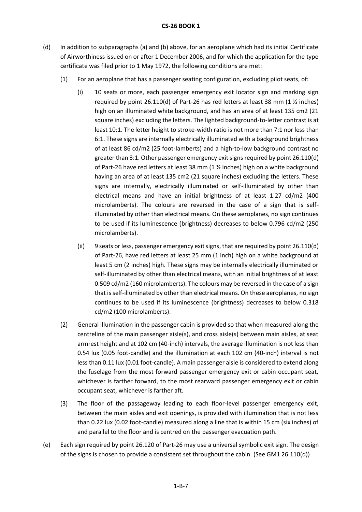- (d) In addition to subparagraphs (a) and (b) above, for an aeroplane which had its initial Certificate of Airworthiness issued on or after 1 December 2006, and for which the application for the type certificate was filed prior to 1 May 1972, the following conditions are met:
	- (1) For an aeroplane that has a passenger seating configuration, excluding pilot seats, of:
		- (i) 10 seats or more, each passenger emergency exit locator sign and marking sign required by point 26.110(d) of Part-26 has red letters at least 38 mm (1  $\frac{1}{2}$  inches) high on an illuminated white background, and has an area of at least 135 cm2 (21 square inches) excluding the letters. The lighted background-to-letter contrast is at least 10:1. The letter height to stroke-width ratio is not more than 7:1 nor less than 6:1. These signs are internally electrically illuminated with a background brightness of at least 86 cd/m2 (25 foot-lamberts) and a high-to-low background contrast no greater than 3:1. Other passenger emergency exit signs required by point 26.110(d) of Part-26 have red letters at least 38 mm (1 ½ inches) high on a white background having an area of at least 135 cm2 (21 square inches) excluding the letters. These signs are internally, electrically illuminated or self-illuminated by other than electrical means and have an initial brightness of at least 1.27 cd/m2 (400 microlamberts). The colours are reversed in the case of a sign that is selfilluminated by other than electrical means. On these aeroplanes, no sign continues to be used if its luminescence (brightness) decreases to below 0.796 cd/m2 (250 microlamberts).
		- (ii) 9 seats or less, passenger emergency exit signs, that are required by point 26.110(d) of Part-26, have red letters at least 25 mm (1 inch) high on a white background at least 5 cm (2 inches) high. These signs may be internally electrically illuminated or self-illuminated by other than electrical means, with an initial brightness of at least 0.509 cd/m2 (160 microlamberts). The colours may be reversed in the case of a sign that is self-illuminated by other than electrical means. On these aeroplanes, no sign continues to be used if its luminescence (brightness) decreases to below 0.318 cd/m2 (100 microlamberts).
	- (2) General illumination in the passenger cabin is provided so that when measured along the centreline of the main passenger aisle(s), and cross aisle(s) between main aisles, at seat armrest height and at 102 cm (40-inch) intervals, the average illumination is not less than 0.54 lux (0.05 foot-candle) and the illumination at each 102 cm (40-inch) interval is not less than 0.11 lux (0.01 foot-candle). A main passenger aisle is considered to extend along the fuselage from the most forward passenger emergency exit or cabin occupant seat, whichever is farther forward, to the most rearward passenger emergency exit or cabin occupant seat, whichever is farther aft.
	- (3) The floor of the passageway leading to each floor-level passenger emergency exit, between the main aisles and exit openings, is provided with illumination that is not less than 0.22 lux (0.02 foot-candle) measured along a line that is within 15 cm (six inches) of and parallel to the floor and is centred on the passenger evacuation path.
- (e) Each sign required by point 26.120 of Part-26 may use a universal symbolic exit sign. The design of the signs is chosen to provide a consistent set throughout the cabin. (See GM1 26.110(d))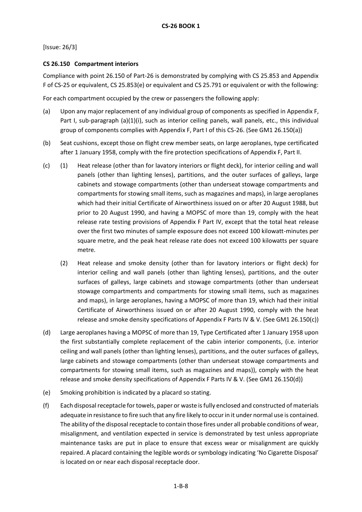# <span id="page-15-0"></span>**CS 26.150 Compartment interiors**

Compliance with point 26.150 of Part-26 is demonstrated by complying with CS 25.853 and Appendix F of CS-25 or equivalent, CS 25.853(e) or equivalent and CS 25.791 or equivalent or with the following:

For each compartment occupied by the crew or passengers the following apply:

- (a) Upon any major replacement of any individual group of components as specified in Appendix F, Part I, sub-paragraph (a)(1)(i), such as interior ceiling panels, wall panels, etc., this individual group of components complies with Appendix F, Part I of this CS-26. (See GM1 26.150(a))
- (b) Seat cushions, except those on flight crew member seats, on large aeroplanes, type certificated after 1 January 1958, comply with the fire protection specifications of Appendix F, Part II.
- (c) (1) Heat release (other than for lavatory interiors or flight deck), for interior ceiling and wall panels (other than lighting lenses), partitions, and the outer surfaces of galleys, large cabinets and stowage compartments (other than underseat stowage compartments and compartments for stowing small items, such as magazines and maps), in large aeroplanes which had their initial Certificate of Airworthiness issued on or after 20 August 1988, but prior to 20 August 1990, and having a MOPSC of more than 19, comply with the heat release rate testing provisions of Appendix F Part IV, except that the total heat release over the first two minutes of sample exposure does not exceed 100 kilowatt-minutes per square metre, and the peak heat release rate does not exceed 100 kilowatts per square metre.
	- (2) Heat release and smoke density (other than for lavatory interiors or flight deck) for interior ceiling and wall panels (other than lighting lenses), partitions, and the outer surfaces of galleys, large cabinets and stowage compartments (other than underseat stowage compartments and compartments for stowing small items, such as magazines and maps), in large aeroplanes, having a MOPSC of more than 19, which had their initial Certificate of Airworthiness issued on or after 20 August 1990, comply with the heat release and smoke density specifications of Appendix F Parts IV & V. (See GM1 26.150(c))
- (d) Large aeroplanes having a MOPSC of more than 19, Type Certificated after 1 January 1958 upon the first substantially complete replacement of the cabin interior components, (i.e. interior ceiling and wall panels (other than lighting lenses), partitions, and the outer surfaces of galleys, large cabinets and stowage compartments (other than underseat stowage compartments and compartments for stowing small items, such as magazines and maps)), comply with the heat release and smoke density specifications of Appendix F Parts IV & V. (See GM1 26.150(d))
- (e) Smoking prohibition is indicated by a placard so stating.
- (f) Each disposal receptacle for towels, paper or waste is fully enclosed and constructed of materials adequate in resistance to fire such that any fire likely to occur in it under normal use is contained. The ability of the disposal receptacle to contain those fires under all probable conditions of wear, misalignment, and ventilation expected in service is demonstrated by test unless appropriate maintenance tasks are put in place to ensure that excess wear or misalignment are quickly repaired. A placard containing the legible words or symbology indicating 'No Cigarette Disposal' is located on or near each disposal receptacle door.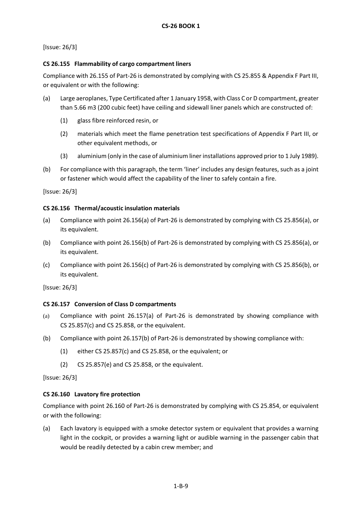# <span id="page-16-0"></span>**CS 26.155 Flammability of cargo compartment liners**

Compliance with 26.155 of Part-26 is demonstrated by complying with CS 25.855 & Appendix F Part III, or equivalent or with the following:

- (a) Large aeroplanes, Type Certificated after 1 January 1958, with Class C or D compartment, greater than 5.66 m3 (200 cubic feet) have ceiling and sidewall liner panels which are constructed of:
	- (1) glass fibre reinforced resin, or
	- (2) materials which meet the flame penetration test specifications of Appendix F Part III, or other equivalent methods, or
	- (3) aluminium (only in the case of aluminium liner installations approved prior to 1 July 1989).
- (b) For compliance with this paragraph, the term 'liner' includes any design features, such as a joint or fastener which would affect the capability of the liner to safely contain a fire.

[Issue: 26/3]

# <span id="page-16-1"></span>**CS 26.156 Thermal/acoustic insulation materials**

- (a) Compliance with point 26.156(a) of Part-26 is demonstrated by complying with CS 25.856(a), or its equivalent.
- (b) Compliance with point 26.156(b) of Part-26 is demonstrated by complying with CS 25.856(a), or its equivalent.
- (c) Compliance with point 26.156(c) of Part-26 is demonstrated by complying with CS 25.856(b), or its equivalent.

[Issue: 26/3]

# **CS 26.157 Conversion of Class D compartments**

- (a) Compliance with point 26.157(a) of Part-26 is demonstrated by showing compliance with CS 25.857(c) and CS 25.858, or the equivalent.
- (b) Compliance with point 26.157(b) of Part-26 is demonstrated by showing compliance with:
	- (1) either CS 25.857(c) and CS 25.858, or the equivalent; or
	- (2) CS 25.857(e) and CS 25.858, or the equivalent.

[Issue: 26/3]

# **CS 26.160 Lavatory fire protection**

Compliance with point 26.160 of Part-26 is demonstrated by complying with CS 25.854, or equivalent or with the following:

(a) Each lavatory is equipped with a smoke detector system or equivalent that provides a warning light in the cockpit, or provides a warning light or audible warning in the passenger cabin that would be readily detected by a cabin crew member; and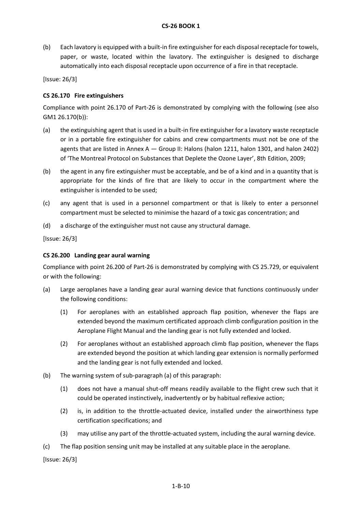(b) Each lavatory is equipped with a built-in fire extinguisher for each disposal receptacle for towels, paper, or waste, located within the lavatory. The extinguisher is designed to discharge automatically into each disposal receptacle upon occurrence of a fire in that receptacle.

[Issue: 26/3]

### <span id="page-17-0"></span>**CS 26.170 Fire extinguishers**

Compliance with point 26.170 of Part-26 is demonstrated by complying with the following (see also GM1 26.170(b)):

- (a) the extinguishing agent that is used in a built-in fire extinguisher for a lavatory waste receptacle or in a portable fire extinguisher for cabins and crew compartments must not be one of the agents that are listed in Annex  $A - G$ roup II: Halons (halon 1211, halon 1301, and halon 2402) of 'The Montreal Protocol on Substances that Deplete the Ozone Layer', 8th Edition, 2009;
- (b) the agent in any fire extinguisher must be acceptable, and be of a kind and in a quantity that is appropriate for the kinds of fire that are likely to occur in the compartment where the extinguisher is intended to be used;
- (c) any agent that is used in a personnel compartment or that is likely to enter a personnel compartment must be selected to minimise the hazard of a toxic gas concentration; and
- (d) a discharge of the extinguisher must not cause any structural damage.

[Issue: 26/3]

### **CS 26.200 Landing gear aural warning**

Compliance with point 26.200 of Part-26 is demonstrated by complying with CS 25.729, or equivalent or with the following:

- (a) Large aeroplanes have a landing gear aural warning device that functions continuously under the following conditions:
	- (1) For aeroplanes with an established approach flap position, whenever the flaps are extended beyond the maximum certificated approach climb configuration position in the Aeroplane Flight Manual and the landing gear is not fully extended and locked.
	- (2) For aeroplanes without an established approach climb flap position, whenever the flaps are extended beyond the position at which landing gear extension is normally performed and the landing gear is not fully extended and locked.
- (b) The warning system of sub-paragraph (a) of this paragraph:
	- (1) does not have a manual shut-off means readily available to the flight crew such that it could be operated instinctively, inadvertently or by habitual reflexive action;
	- (2) is, in addition to the throttle-actuated device, installed under the airworthiness type certification specifications; and
	- (3) may utilise any part of the throttle-actuated system, including the aural warning device.
- (c) The flap position sensing unit may be installed at any suitable place in the aeroplane.

[Issue: 26/3]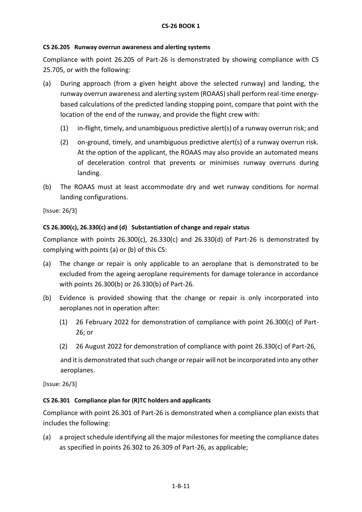# **CS 26.205 Runway overrun awareness and alerting systems**

Compliance with point 26.205 of Part-26 is demonstrated by showing compliance with CS 25.705, or with the following:

- (a) During approach (from a given height above the selected runway) and landing, the runway overrun awareness and alerting system (ROAAS) shall perform real-time energybased calculations of the predicted landing stopping point, compare that point with the location of the end of the runway, and provide the flight crew with:
	- (1) in-flight, timely, and unambiguous predictive alert(s) of a runway overrun risk; and
	- (2) on-ground, timely, and unambiguous predictive alert(s) of a runway overrun risk. At the option of the applicant, the ROAAS may also provide an automated means of deceleration control that prevents or minimises runway overruns during landing.
- (b) The ROAAS must at least accommodate dry and wet runway conditions for normal landing configurations.

[Issue: 26/3]

# **CS 26.300(c), 26.330(c) and (d) Substantiation of change and repair status**

Compliance with points 26.300(c), 26.330(c) and 26.330(d) of Part-26 is demonstrated by complying with points (a) or (b) of this CS:

- (a) The change or repair is only applicable to an aeroplane that is demonstrated to be excluded from the ageing aeroplane requirements for damage tolerance in accordance with points 26.300(b) or 26.330(b) of Part-26.
- (b) Evidence is provided showing that the change or repair is only incorporated into aeroplanes not in operation after:
	- (1) 26 February 2022 for demonstration of compliance with point 26.300(c) of Part-26; or
	- (2) 26 August 2022 for demonstration of compliance with point 26.330(c) of Part-26,

and it is demonstrated that such change or repair will not be incorporated into any other aeroplanes.

[Issue: 26/3]

# **CS 26.301 Compliance plan for (R)TC holders and applicants**

Compliance with point 26.301 of Part-26 is demonstrated when a compliance plan exists that includes the following:

(a) a project schedule identifying all the major milestones for meeting the compliance dates as specified in points 26.302 to 26.309 of Part-26, as applicable;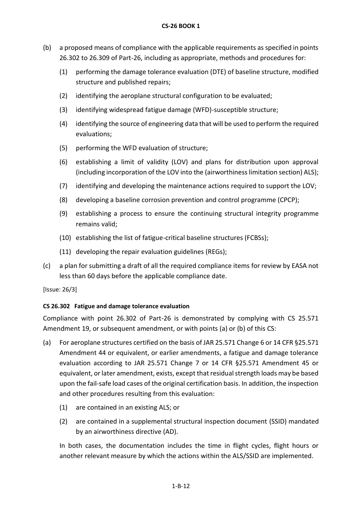- (b) a proposed means of compliance with the applicable requirements as specified in points 26.302 to 26.309 of Part-26, including as appropriate, methods and procedures for:
	- (1) performing the damage tolerance evaluation (DTE) of baseline structure, modified structure and published repairs;
	- (2) identifying the aeroplane structural configuration to be evaluated;
	- (3) identifying widespread fatigue damage (WFD)-susceptible structure;
	- (4) identifying the source of engineering data that will be used to perform the required evaluations;
	- (5) performing the WFD evaluation of structure;
	- (6) establishing a limit of validity (LOV) and plans for distribution upon approval (including incorporation of the LOV into the (airworthiness limitation section) ALS);
	- (7) identifying and developing the maintenance actions required to support the LOV;
	- (8) developing a baseline corrosion prevention and control programme (CPCP);
	- (9) establishing a process to ensure the continuing structural integrity programme remains valid;
	- (10) establishing the list of fatigue-critical baseline structures (FCBSs);
	- (11) developing the repair evaluation guidelines (REGs);
- (c) a plan for submitting a draft of all the required compliance items for review by EASA not less than 60 days before the applicable compliance date.

# **CS 26.302 Fatigue and damage tolerance evaluation**

Compliance with point 26.302 of Part-26 is demonstrated by complying with CS 25.571 Amendment 19, or subsequent amendment, or with points (a) or (b) of this CS:

- (a) For aeroplane structures certified on the basis of JAR 25.571 Change 6 or 14 CFR §25.571 Amendment 44 or equivalent, or earlier amendments, a fatigue and damage tolerance evaluation according to JAR 25.571 Change 7 or 14 CFR §25.571 Amendment 45 or equivalent, or later amendment, exists, except that residual strength loads may be based upon the fail-safe load cases of the original certification basis. In addition, the inspection and other procedures resulting from this evaluation:
	- (1) are contained in an existing ALS; or
	- (2) are contained in a supplemental structural inspection document (SSID) mandated by an airworthiness directive (AD).

In both cases, the documentation includes the time in flight cycles, flight hours or another relevant measure by which the actions within the ALS/SSID are implemented.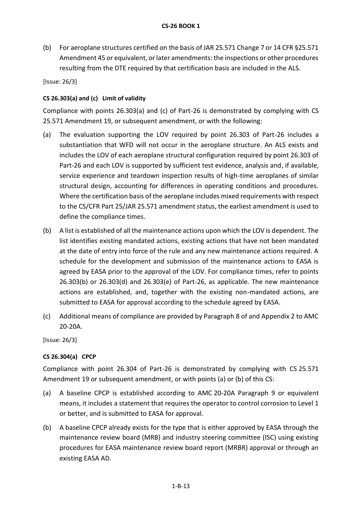(b) For aeroplane structures certified on the basis of JAR 25.571 Change 7 or 14 CFR §25.571 Amendment 45 or equivalent, or later amendments: the inspections or other procedures resulting from the DTE required by that certification basis are included in the ALS.

[Issue: 26/3]

# **CS 26.303(a) and (c) Limit of validity**

Compliance with points 26.303(a) and (c) of Part-26 is demonstrated by complying with CS 25.571 Amendment 19, or subsequent amendment, or with the following:

- (a) The evaluation supporting the LOV required by point 26.303 of Part-26 includes a substantiation that WFD will not occur in the aeroplane structure. An ALS exists and includes the LOV of each aeroplane structural configuration required by point 26.303 of Part-26 and each LOV is supported by sufficient test evidence, analysis and, if available, service experience and teardown inspection results of high-time aeroplanes of similar structural design, accounting for differences in operating conditions and procedures. Where the certification basis of the aeroplane includes mixed requirements with respect to the CS/CFR Part 25/JAR 25.571 amendment status, the earliest amendment is used to define the compliance times.
- (b) A list is established of all the maintenance actions upon which the LOV is dependent. The list identifies existing mandated actions, existing actions that have not been mandated at the date of entry into force of the rule and any new maintenance actions required. A schedule for the development and submission of the maintenance actions to EASA is agreed by EASA prior to the approval of the LOV. For compliance times, refer to points 26.303(b) or 26.303(d) and 26.303(e) of Part-26, as applicable. The new maintenance actions are established, and, together with the existing non-mandated actions, are submitted to EASA for approval according to the schedule agreed by EASA.
- (c) Additional means of compliance are provided by Paragraph 8 of and Appendix 2 to AMC 20-20A.

[Issue: 26/3]

# **CS 26.304(a) CPCP**

Compliance with point 26.304 of Part-26 is demonstrated by complying with CS 25.571 Amendment 19 or subsequent amendment, or with points (a) or (b) of this CS:

- (a) A baseline CPCP is established according to AMC 20-20A Paragraph 9 or equivalent means, it includes a statement that requires the operator to control corrosion to Level 1 or better, and is submitted to EASA for approval.
- (b) A baseline CPCP already exists for the type that is either approved by EASA through the maintenance review board (MRB) and industry steering committee (ISC) using existing procedures for EASA maintenance review board report (MRBR) approval or through an existing EASA AD.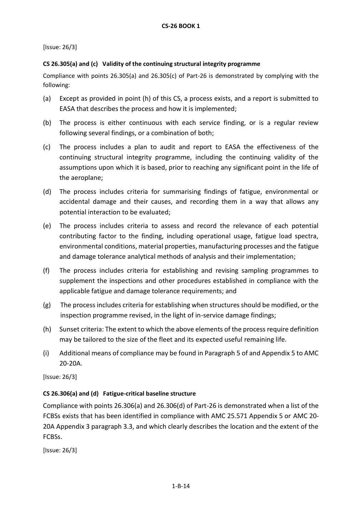# **CS 26.305(a) and (c) Validity of the continuing structural integrity programme**

Compliance with points 26.305(a) and 26.305(c) of Part-26 is demonstrated by complying with the following:

- (a) Except as provided in point (h) of this CS, a process exists, and a report is submitted to EASA that describes the process and how it is implemented;
- (b) The process is either continuous with each service finding, or is a regular review following several findings, or a combination of both;
- (c) The process includes a plan to audit and report to EASA the effectiveness of the continuing structural integrity programme, including the continuing validity of the assumptions upon which it is based, prior to reaching any significant point in the life of the aeroplane;
- (d) The process includes criteria for summarising findings of fatigue, environmental or accidental damage and their causes, and recording them in a way that allows any potential interaction to be evaluated;
- (e) The process includes criteria to assess and record the relevance of each potential contributing factor to the finding, including operational usage, fatigue load spectra, environmental conditions, material properties, manufacturing processes and the fatigue and damage tolerance analytical methods of analysis and their implementation;
- (f) The process includes criteria for establishing and revising sampling programmes to supplement the inspections and other procedures established in compliance with the applicable fatigue and damage tolerance requirements; and
- (g) The process includes criteria for establishing when structures should be modified, or the inspection programme revised, in the light of in-service damage findings;
- (h) Sunset criteria: The extent to which the above elements of the process require definition may be tailored to the size of the fleet and its expected useful remaining life.
- (i) Additional means of compliance may be found in Paragraph 5 of and Appendix 5 to AMC 20-20A.

[Issue: 26/3]

# **CS 26.306(a) and (d) Fatigue-critical baseline structure**

Compliance with points 26.306(a) and 26.306(d) of Part-26 is demonstrated when a list of the FCBSs exists that has been identified in compliance with AMC 25.571 Appendix 5 or AMC 20- 20A Appendix 3 paragraph 3.3, and which clearly describes the location and the extent of the FCBSs.

[Issue: 26/3]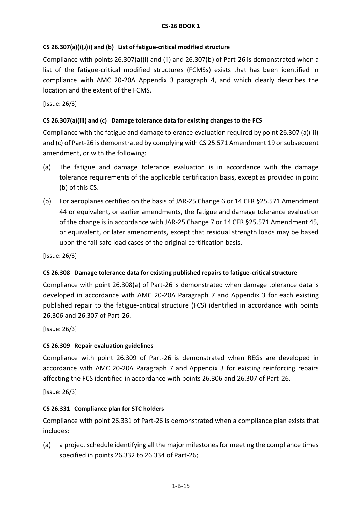# **CS 26.307(a)(i),(ii) and (b) List of fatigue-critical modified structure**

Compliance with points 26.307(a)(i) and (ii) and 26.307(b) of Part-26 is demonstrated when a list of the fatigue-critical modified structures (FCMSs) exists that has been identified in compliance with AMC 20-20A Appendix 3 paragraph 4, and which clearly describes the location and the extent of the FCMS.

[Issue: 26/3]

# **CS 26.307(a)(iii) and (c) Damage tolerance data for existing changes to the FCS**

Compliance with the fatigue and damage tolerance evaluation required by point 26.307 (a)(iii) and (c) of Part-26 is demonstrated by complying with CS 25.571 Amendment 19 or subsequent amendment, or with the following:

- (a) The fatigue and damage tolerance evaluation is in accordance with the damage tolerance requirements of the applicable certification basis, except as provided in point (b) of this CS.
- (b) For aeroplanes certified on the basis of JAR-25 Change 6 or 14 CFR §25.571 Amendment 44 or equivalent, or earlier amendments, the fatigue and damage tolerance evaluation of the change is in accordance with JAR-25 Change 7 or 14 CFR §25.571 Amendment 45, or equivalent, or later amendments, except that residual strength loads may be based upon the fail-safe load cases of the original certification basis.

[Issue: 26/3]

# **CS 26.308 Damage tolerance data for existing published repairs to fatigue-critical structure**

Compliance with point 26.308(a) of Part-26 is demonstrated when damage tolerance data is developed in accordance with AMC 20-20A Paragraph 7 and Appendix 3 for each existing published repair to the fatigue-critical structure (FCS) identified in accordance with points 26.306 and 26.307 of Part-26.

[Issue: 26/3]

# **CS 26.309 Repair evaluation guidelines**

Compliance with point 26.309 of Part-26 is demonstrated when REGs are developed in accordance with AMC 20-20A Paragraph 7 and Appendix 3 for existing reinforcing repairs affecting the FCS identified in accordance with points 26.306 and 26.307 of Part-26.

[Issue: 26/3]

# **CS 26.331 Compliance plan for STC holders**

Compliance with point 26.331 of Part-26 is demonstrated when a compliance plan exists that includes:

(a) a project schedule identifying all the major milestones for meeting the compliance times specified in points 26.332 to 26.334 of Part-26;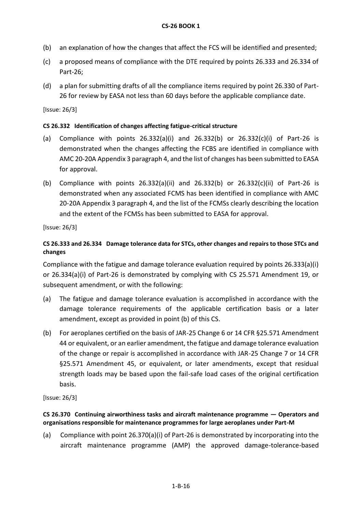- (b) an explanation of how the changes that affect the FCS will be identified and presented;
- (c) a proposed means of compliance with the DTE required by points 26.333 and 26.334 of Part-26;
- (d) a plan for submitting drafts of all the compliance items required by point 26.330 of Part-26 for review by EASA not less than 60 days before the applicable compliance date.

# **CS 26.332 Identification of changes affecting fatigue-critical structure**

- (a) Compliance with points 26.332(a)(i) and 26.332(b) or 26.332(c)(i) of Part-26 is demonstrated when the changes affecting the FCBS are identified in compliance with AMC 20-20A Appendix 3 paragraph 4, and the list of changes has been submitted to EASA for approval.
- (b) Compliance with points  $26.332(a)(ii)$  and  $26.332(b)$  or  $26.332(c)(ii)$  of Part-26 is demonstrated when any associated FCMS has been identified in compliance with AMC 20-20A Appendix 3 paragraph 4, and the list of the FCMSs clearly describing the location and the extent of the FCMSs has been submitted to EASA for approval.

[Issue: 26/3]

# **CS 26.333 and 26.334 Damage tolerance data for STCs, other changes and repairs to those STCs and changes**

Compliance with the fatigue and damage tolerance evaluation required by points 26.333(a)(i) or 26.334(a)(i) of Part-26 is demonstrated by complying with CS 25.571 Amendment 19, or subsequent amendment, or with the following:

- (a) The fatigue and damage tolerance evaluation is accomplished in accordance with the damage tolerance requirements of the applicable certification basis or a later amendment, except as provided in point (b) of this CS.
- (b) For aeroplanes certified on the basis of JAR-25 Change 6 or 14 CFR §25.571 Amendment 44 or equivalent, or an earlier amendment, the fatigue and damage tolerance evaluation of the change or repair is accomplished in accordance with JAR-25 Change 7 or 14 CFR §25.571 Amendment 45, or equivalent, or later amendments, except that residual strength loads may be based upon the fail-safe load cases of the original certification basis.

[Issue: 26/3]

# **CS 26.370 Continuing airworthiness tasks and aircraft maintenance programme — Operators and organisations responsible for maintenance programmes for large aeroplanes under Part-M**

(a) Compliance with point 26.370(a)(i) of Part-26 is demonstrated by incorporating into the aircraft maintenance programme (AMP) the approved damage-tolerance-based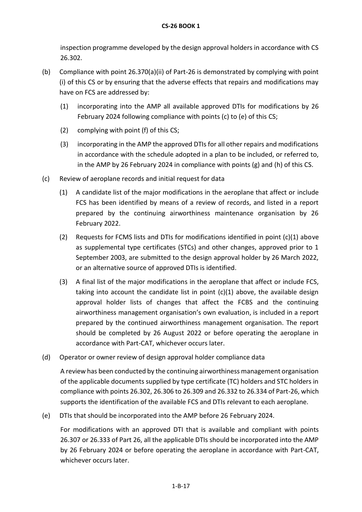# **CS-26 BOOK 1**

inspection programme developed by the design approval holders in accordance with CS 26.302.

- (b) Compliance with point 26.370(a)(ii) of Part-26 is demonstrated by complying with point (i) of this CS or by ensuring that the adverse effects that repairs and modifications may have on FCS are addressed by:
	- (1) incorporating into the AMP all available approved DTIs for modifications by 26 February 2024 following compliance with points (c) to (e) of this CS;
	- (2) complying with point (f) of this CS;
	- (3) incorporating in the AMP the approved DTIs for all other repairs and modifications in accordance with the schedule adopted in a plan to be included, or referred to, in the AMP by 26 February 2024 in compliance with points (g) and (h) of this CS.
- (c) Review of aeroplane records and initial request for data
	- (1) A candidate list of the major modifications in the aeroplane that affect or include FCS has been identified by means of a review of records, and listed in a report prepared by the continuing airworthiness maintenance organisation by 26 February 2022.
	- (2) Requests for FCMS lists and DTIs for modifications identified in point (c)(1) above as supplemental type certificates (STCs) and other changes, approved prior to 1 September 2003, are submitted to the design approval holder by 26 March 2022, or an alternative source of approved DTIs is identified.
	- (3) A final list of the major modifications in the aeroplane that affect or include FCS, taking into account the candidate list in point (c)(1) above, the available design approval holder lists of changes that affect the FCBS and the continuing airworthiness management organisation's own evaluation, is included in a report prepared by the continued airworthiness management organisation. The report should be completed by 26 August 2022 or before operating the aeroplane in accordance with Part-CAT, whichever occurs later.
- (d) Operator or owner review of design approval holder compliance data

A review has been conducted by the continuing airworthiness management organisation of the applicable documents supplied by type certificate (TC) holders and STC holders in compliance with points 26.302, 26.306 to 26.309 and 26.332 to 26.334 of Part-26, which supports the identification of the available FCS and DTIs relevant to each aeroplane.

(e) DTIs that should be incorporated into the AMP before 26 February 2024.

For modifications with an approved DTI that is available and compliant with points 26.307 or 26.333 of Part 26, all the applicable DTIs should be incorporated into the AMP by 26 February 2024 or before operating the aeroplane in accordance with Part-CAT, whichever occurs later.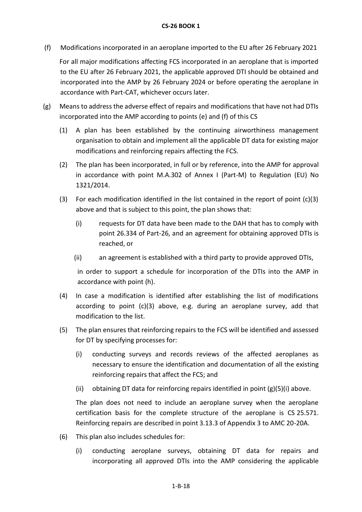(f) Modifications incorporated in an aeroplane imported to the EU after 26 February 2021

For all major modifications affecting FCS incorporated in an aeroplane that is imported to the EU after 26 February 2021, the applicable approved DTI should be obtained and incorporated into the AMP by 26 February 2024 or before operating the aeroplane in accordance with Part-CAT, whichever occurs later.

- (g) Means to address the adverse effect of repairs and modifications that have not had DTIs incorporated into the AMP according to points (e) and (f) of this CS
	- (1) A plan has been established by the continuing airworthiness management organisation to obtain and implement all the applicable DT data for existing major modifications and reinforcing repairs affecting the FCS.
	- (2) The plan has been incorporated, in full or by reference, into the AMP for approval in accordance with point M.A.302 of Annex I (Part-M) to Regulation (EU) No 1321/2014.
	- (3) For each modification identified in the list contained in the report of point  $(c)(3)$ above and that is subject to this point, the plan shows that:
		- (i) requests for DT data have been made to the DAH that has to comply with point 26.334 of Part-26, and an agreement for obtaining approved DTIs is reached, or
		- (ii) an agreement is established with a third party to provide approved DTIs,

in order to support a schedule for incorporation of the DTIs into the AMP in accordance with point (h).

- (4) In case a modification is identified after establishing the list of modifications according to point (c)(3) above, e.g. during an aeroplane survey, add that modification to the list.
- (5) The plan ensures that reinforcing repairs to the FCS will be identified and assessed for DT by specifying processes for:
	- (i) conducting surveys and records reviews of the affected aeroplanes as necessary to ensure the identification and documentation of all the existing reinforcing repairs that affect the FCS; and
	- (ii) obtaining DT data for reinforcing repairs identified in point  $(g)(5)(i)$  above.

The plan does not need to include an aeroplane survey when the aeroplane certification basis for the complete structure of the aeroplane is CS 25.571. Reinforcing repairs are described in point 3.13.3 of Appendix 3 to AMC 20-20A.

- (6) This plan also includes schedules for:
	- (i) conducting aeroplane surveys, obtaining DT data for repairs and incorporating all approved DTIs into the AMP considering the applicable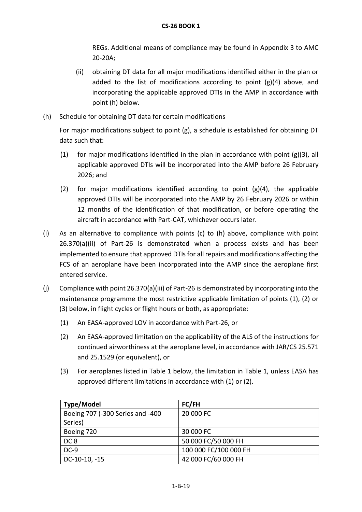REGs. Additional means of compliance may be found in Appendix 3 to AMC 20-20A;

- (ii) obtaining DT data for all major modifications identified either in the plan or added to the list of modifications according to point  $(g)(4)$  above, and incorporating the applicable approved DTIs in the AMP in accordance with point (h) below.
- (h) Schedule for obtaining DT data for certain modifications

For major modifications subject to point (g), a schedule is established for obtaining DT data such that:

- (1) for major modifications identified in the plan in accordance with point (g)(3), all applicable approved DTIs will be incorporated into the AMP before 26 February 2026; and
- (2) for major modifications identified according to point  $(g)(4)$ , the applicable approved DTIs will be incorporated into the AMP by 26 February 2026 or within 12 months of the identification of that modification, or before operating the aircraft in accordance with Part-CAT, whichever occurs later.
- (i) As an alternative to compliance with points (c) to (h) above, compliance with point 26.370(a)(ii) of Part-26 is demonstrated when a process exists and has been implemented to ensure that approved DTIs for all repairs and modifications affecting the FCS of an aeroplane have been incorporated into the AMP since the aeroplane first entered service.
- (j) Compliance with point 26.370(a)(iii) of Part-26 is demonstrated by incorporating into the maintenance programme the most restrictive applicable limitation of points (1), (2) or (3) below, in flight cycles or flight hours or both, as appropriate:
	- (1) An EASA-approved LOV in accordance with Part-26, or
	- (2) An EASA-approved limitation on the applicability of the ALS of the instructions for continued airworthiness at the aeroplane level, in accordance with JAR/CS 25.571 and 25.1529 (or equivalent), or
	- (3) For aeroplanes listed in Table 1 below, the limitation in Table 1, unless EASA has approved different limitations in accordance with (1) or (2).

| <b>Type/Model</b>                | FC/FH                 |
|----------------------------------|-----------------------|
| Boeing 707 (-300 Series and -400 | 20 000 FC             |
| Series)                          |                       |
| Boeing 720                       | 30 000 FC             |
| DC <sub>8</sub>                  | 50 000 FC/50 000 FH   |
| $DC-9$                           | 100 000 FC/100 000 FH |
| DC-10-10, -15                    | 42 000 FC/60 000 FH   |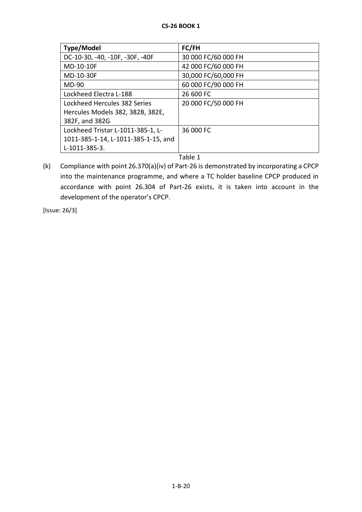| Type/Model                          | FC/FH               |
|-------------------------------------|---------------------|
| DC-10-30, -40, -10F, -30F, -40F     | 30 000 FC/60 000 FH |
| MD-10-10F                           | 42 000 FC/60 000 FH |
| MD-10-30F                           | 30,000 FC/60,000 FH |
| <b>MD-90</b>                        | 60 000 FC/90 000 FH |
| Lockheed Electra L-188              | 26 600 FC           |
| Lockheed Hercules 382 Series        | 20 000 FC/50 000 FH |
| Hercules Models 382, 382B, 382E,    |                     |
| 382F, and 382G                      |                     |
| Lockheed Tristar L-1011-385-1, L-   | 36 000 FC           |
| 1011-385-1-14, L-1011-385-1-15, and |                     |
| L-1011-385-3.                       |                     |
|                                     | ᆍ- L L - <i>A</i>   |

Table 1

(k) Compliance with point 26.370(a)(iv) of Part-26 is demonstrated by incorporating a CPCP into the maintenance programme, and where a TC holder baseline CPCP produced in accordance with point 26.304 of Part-26 exists, it is taken into account in the development of the operator's CPCP.

[Issue: 26/3]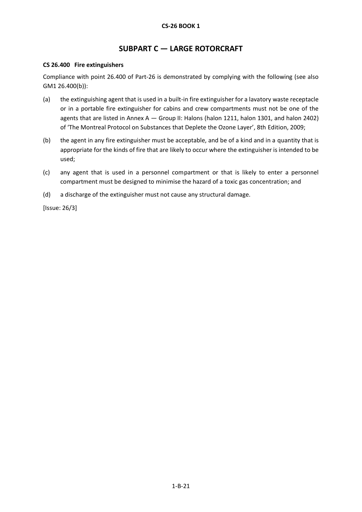# **SUBPART C — LARGE ROTORCRAFT**

### **CS 26.400 Fire extinguishers**

Compliance with point 26.400 of Part-26 is demonstrated by complying with the following (see also GM1 26.400(b)):

- (a) the extinguishing agent that is used in a built-in fire extinguisher for a lavatory waste receptacle or in a portable fire extinguisher for cabins and crew compartments must not be one of the agents that are listed in Annex A - Group II: Halons (halon 1211, halon 1301, and halon 2402) of 'The Montreal Protocol on Substances that Deplete the Ozone Layer', 8th Edition, 2009;
- (b) the agent in any fire extinguisher must be acceptable, and be of a kind and in a quantity that is appropriate for the kinds of fire that are likely to occur where the extinguisher is intended to be used;
- (c) any agent that is used in a personnel compartment or that is likely to enter a personnel compartment must be designed to minimise the hazard of a toxic gas concentration; and
- (d) a discharge of the extinguisher must not cause any structural damage.

[Issue: 26/3]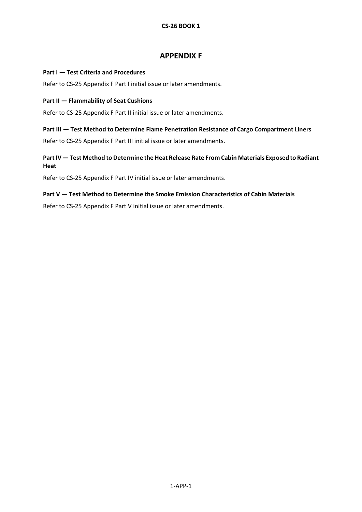# **APPENDIX F**

### <span id="page-29-1"></span><span id="page-29-0"></span>**Part l — Test Criteria and Procedures**

Refer to CS-25 Appendix F Part I initial issue or later amendments.

### <span id="page-29-2"></span>**Part II — Flammability of Seat Cushions**

Refer to CS-25 Appendix F Part II initial issue or later amendments.

#### <span id="page-29-3"></span>**Part III — Test Method to Determine Flame Penetration Resistance of Cargo Compartment Liners**

Refer to CS-25 Appendix F Part III initial issue or later amendments.

# <span id="page-29-4"></span>**Part IV — Test Method to Determine the Heat Release Rate From Cabin Materials Exposed to Radiant Heat**

Refer to CS-25 Appendix F Part IV initial issue or later amendments.

### <span id="page-29-5"></span>**Part V — Test Method to Determine the Smoke Emission Characteristics of Cabin Materials**

Refer to CS-25 Appendix F Part V initial issue or later amendments.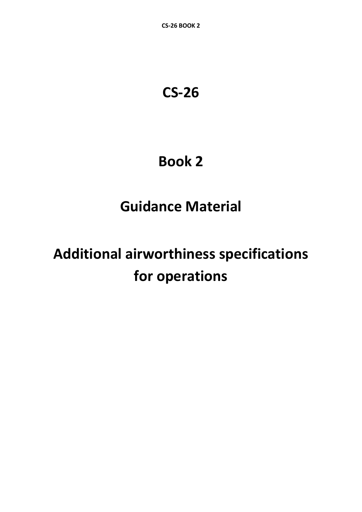# **CS-26**

# **Book 2**

# **Guidance Material**

# **Additional airworthiness specifications for operations**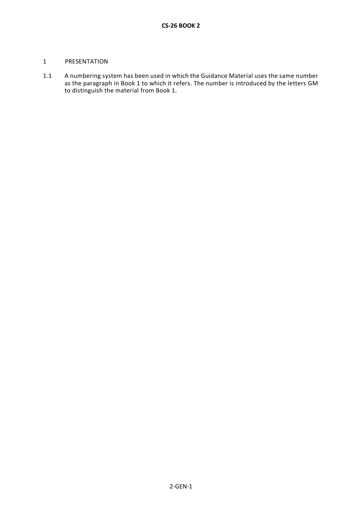### 1 PRESENTATION

1.1 A numbering system has been used in which the Guidance Material uses the same number as the paragraph in Book 1 to which it refers. The number is introduced by the letters GM to distinguish the material from Book 1.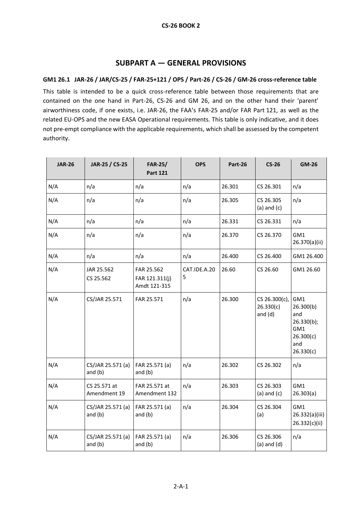# **SUBPART A — GENERAL PROVISIONS**

# <span id="page-32-1"></span><span id="page-32-0"></span>**GM1 26.1 JAR-26 / JAR/CS-25 / FAR-25+121 / OPS / Part-26 / CS-26 / GM-26 cross-reference table**

This table is intended to be a quick cross-reference table between those requirements that are contained on the one hand in Part-26, CS-26 and GM 26, and on the other hand their 'parent' airworthiness code, if one exists, i.e. JAR-26, the FAA's FAR-25 and/or FAR Part 121, as well as the related EU-OPS and the new EASA Operational requirements. This table is only indicative, and it does not pre-empt compliance with the applicable requirements, which shall be assessed by the competent authority.

| <b>JAR-26</b> | JAR-25 / CS-25                 | <b>FAR-25/</b><br><b>Part 121</b>            | <b>OPS</b>        | Part-26 | $CS-26$                                 | <b>GM-26</b>                                                                  |
|---------------|--------------------------------|----------------------------------------------|-------------------|---------|-----------------------------------------|-------------------------------------------------------------------------------|
| N/A           | n/a                            | n/a                                          | n/a               | 26.301  | CS 26.301                               | n/a                                                                           |
| N/A           | n/a                            | n/a                                          | n/a               | 26.305  | CS 26.305<br>$(a)$ and $(c)$            | n/a                                                                           |
| N/A           | n/a                            | n/a                                          | n/a               | 26.331  | CS 26.331                               | n/a                                                                           |
| N/A           | n/a                            | n/a                                          | n/a               | 26.370  | CS 26.370                               | GM1<br>26.370(a)(ii)                                                          |
| N/A           | n/a                            | n/a                                          | n/a               | 26.400  | CS 26.400                               | GM1 26.400                                                                    |
| N/A           | JAR 25.562<br>CS 25.562        | FAR 25.562<br>FAR 121.311(j)<br>Amdt 121-315 | CAT.IDE.A.20<br>5 | 26.60   | CS 26.60                                | GM1 26.60                                                                     |
| N/A           | CS/JAR 25.571                  | FAR 25.571                                   | n/a               | 26.300  | CS 26.300(c),<br>26.330(c)<br>and $(d)$ | GM1<br>26.300(b)<br>and<br>26.330(b);<br>GM1<br>26.300(c)<br>and<br>26.330(c) |
| N/A           | CS/JAR 25.571 (a)<br>and (b)   | FAR 25.571 (a)<br>and $(b)$                  | n/a               | 26.302  | CS 26.302                               | n/a                                                                           |
| N/A           | CS 25.571 at<br>Amendment 19   | FAR 25.571 at<br>Amendment 132               | n/a               | 26.303  | CS 26.303<br>$(a)$ and $(c)$            | GM1<br>26.303(a)                                                              |
| N/A           | CS/JAR 25.571 (a)<br>and $(b)$ | FAR 25.571 (a)<br>and $(b)$                  | n/a               | 26.304  | CS 26.304<br>(a)                        | GM1<br>26.332(a)(iii)<br>26.332(c)(ii)                                        |
| N/A           | CS/JAR 25.571 (a)<br>and $(b)$ | FAR 25.571 (a)<br>and $(b)$                  | n/a               | 26.306  | CS 26.306<br>$(a)$ and $(d)$            | n/a                                                                           |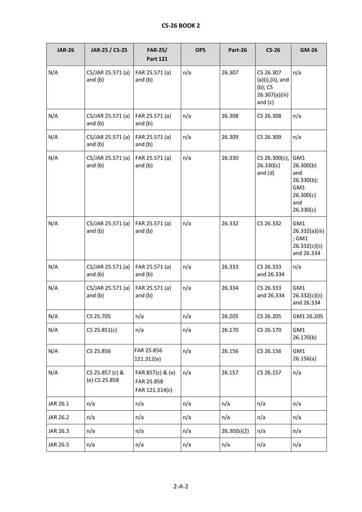| <b>JAR-26</b> | JAR-25 / CS-25                   | <b>FAR-25/</b><br><b>Part 121</b>                | <b>OPS</b> | Part-26     | $CS-26$                                                                      | <b>GM-26</b>                                                                  |
|---------------|----------------------------------|--------------------------------------------------|------------|-------------|------------------------------------------------------------------------------|-------------------------------------------------------------------------------|
| N/A           | CS/JAR 25.571 (a)<br>and $(b)$   | FAR 25.571 (a)<br>and $(b)$                      | n/a        | 26.307      | CS 26.307<br>$(a)(i),(ii),$ and<br>$(b)$ ; CS<br>26.307(a)(iii)<br>and $(c)$ | n/a                                                                           |
| N/A           | CS/JAR 25.571 (a)<br>and $(b)$   | FAR 25.571 (a)<br>and $(b)$                      | n/a        | 26.308      | CS 26.308                                                                    | n/a                                                                           |
| N/A           | CS/JAR 25.571 (a)<br>and $(b)$   | FAR 25.571 (a)<br>and $(b)$                      | n/a        | 26.309      | CS 26.309                                                                    | n/a                                                                           |
| N/A           | CS/JAR 25.571 (a)<br>and $(b)$   | FAR 25.571 (a)<br>and $(b)$                      | n/a        | 26.330      | CS 26.300(c),<br>26.330(c)<br>and $(d)$                                      | GM1<br>26.300(b)<br>and<br>26.330(b);<br>GM1<br>26.300(c)<br>and<br>26.330(c) |
| N/A           | CS/JAR 25.571 (a)<br>and $(b)$   | FAR 25.571 (a)<br>and $(b)$                      | n/a        | 26.332      | CS 26.332                                                                    | GM1<br>26.332(a)(iii)<br>; GM1<br>26.332(c)(ii)<br>and 26.334                 |
| N/A           | CS/JAR 25.571 (a)<br>and $(b)$   | FAR 25.571 (a)<br>and $(b)$                      | n/a        | 26.333      | CS 26.333<br>and 26.334                                                      | n/a                                                                           |
| N/A           | CS/JAR 25.571 (a)<br>and $(b)$   | FAR 25.571 (a)<br>and $(b)$                      | n/a        | 26.334      | CS 26.333<br>and 26.334                                                      | GM1<br>26.332(c)(ii)<br>and 26.334                                            |
| N/A           | CS 25.705                        | n/a                                              | n/a        | 26.205      | CS 26.205                                                                    | GM1 26.205                                                                    |
| N/A           | CS 25.851(c)                     | n/a                                              | n/a        | 26.170      | CS 26.170                                                                    | GM1<br>26.170(b)                                                              |
| N/A           | CS 25.856                        | FAR 25.856<br>121.312(e)                         | n/a        | 26.156      | CS 26.156                                                                    | GM1<br>26.156(a)                                                              |
| N/A           | CS 25.857 (c) &<br>(e) CS 25.858 | FAR 857(c) & (e)<br>FAR 25.858<br>FAR 121.314(c) | n/a        | 26.157      | CS 26.157                                                                    | n/a                                                                           |
| JAR 26.1      | n/a                              | n/a                                              | n/a        | n/a         | n/a                                                                          | n/a                                                                           |
| JAR 26.2      | n/a                              | n/a                                              | n/a        | n/a         | n/a                                                                          | n/a                                                                           |
| JAR 26.3      | n/a                              | n/a                                              | n/a        | 26.30(b)(2) | n/a                                                                          | n/a                                                                           |
| JAR 26.5      | n/a                              | n/a                                              | n/a        | n/a         | n/a                                                                          | n/a                                                                           |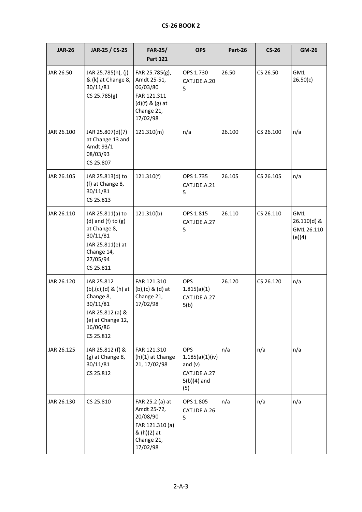| <b>JAR-26</b> | JAR-25 / CS-25                                                                                                                      | <b>FAR-25/</b><br><b>Part 121</b>                                                                         | <b>OPS</b>                                                                         | Part-26 | $CS-26$   | <b>GM-26</b>                               |
|---------------|-------------------------------------------------------------------------------------------------------------------------------------|-----------------------------------------------------------------------------------------------------------|------------------------------------------------------------------------------------|---------|-----------|--------------------------------------------|
| JAR 26.50     | JAR 25.785(h), (j)<br>& (k) at Change 8,<br>30/11/81<br>CS 25.785(g)                                                                | FAR 25.785(g),<br>Amdt 25-51,<br>06/03/80<br>FAR 121.311<br>$(d)(f)$ & $(g)$ at<br>Change 21,<br>17/02/98 | OPS 1.730<br>CAT.IDE.A.20<br>5                                                     | 26.50   | CS 26.50  | GM1<br>26.50(c)                            |
| JAR 26.100    | JAR 25.807(d)(7)<br>at Change 13 and<br>Amdt 93/1<br>08/03/93<br>CS 25.807                                                          | 121.310(m)                                                                                                | n/a                                                                                | 26.100  | CS 26.100 | n/a                                        |
| JAR 26.105    | JAR 25.813(d) to<br>(f) at Change 8,<br>30/11/81<br>CS 25.813                                                                       | 121.310(f)                                                                                                | OPS 1.735<br>CAT.IDE.A.21<br>5                                                     | 26.105  | CS 26.105 | n/a                                        |
| JAR 26.110    | JAR 25.811(a) to<br>$(d)$ and $(f)$ to $(g)$<br>at Change 8,<br>30/11/81<br>JAR 25.811(e) at<br>Change 14,<br>27/05/94<br>CS 25.811 | 121.310(b)                                                                                                | OPS 1.815<br>CAT.IDE.A.27<br>5                                                     | 26.110  | CS 26.110 | GM1<br>26.110(d) &<br>GM1 26.110<br>(e)(4) |
| JAR 26.120    | JAR 25.812<br>$(b),(c),(d)$ & $(h)$ at<br>Change 8,<br>30/11/81<br>JAR 25.812 (a) &<br>(e) at Change 12,<br>16/06/86<br>CS 25.812   | FAR 121.310<br>$(b)$ , $(c)$ & $(d)$ at<br>Change 21,<br>17/02/98                                         | <b>OPS</b><br>1.815(a)(1)<br>CAT.IDE.A.27<br>5(b)                                  | 26.120  | CS 26.120 | n/a                                        |
| JAR 26.125    | JAR 25.812 (f) &<br>(g) at Change 8,<br>30/11/81<br>CS 25.812                                                                       | FAR 121.310<br>(h)(1) at Change<br>21, 17/02/98                                                           | <b>OPS</b><br>1.185(a)(1)(iv)<br>and $(v)$<br>CAT.IDE.A.27<br>$5(b)(4)$ and<br>(5) | n/a     | n/a       | n/a                                        |
| JAR 26.130    | CS 25.810                                                                                                                           | FAR 25.2 (a) at<br>Amdt 25-72,<br>20/08/90<br>FAR 121.310 (a)<br>& (h)(2) at<br>Change 21,<br>17/02/98    | OPS 1.805<br>CAT.IDE.A.26<br>5                                                     | n/a     | n/a       | n/a                                        |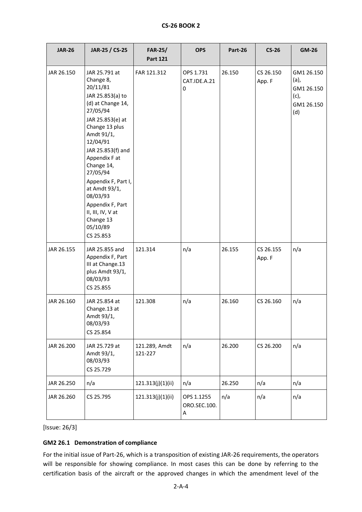| <b>CS-26 BOOK 2</b> |  |
|---------------------|--|
|                     |  |

| <b>JAR-26</b> | JAR-25 / CS-25                                                                                                                                                                                                                                                                                                                                                 | <b>FAR-25/</b><br><b>Part 121</b> | <b>OPS</b>                      | Part-26 | $CS-26$             | <b>GM-26</b>                                                  |
|---------------|----------------------------------------------------------------------------------------------------------------------------------------------------------------------------------------------------------------------------------------------------------------------------------------------------------------------------------------------------------------|-----------------------------------|---------------------------------|---------|---------------------|---------------------------------------------------------------|
| JAR 26.150    | JAR 25.791 at<br>Change 8,<br>20/11/81<br>JAR 25.853(a) to<br>(d) at Change 14,<br>27/05/94<br>JAR 25.853(e) at<br>Change 13 plus<br>Amdt 91/1,<br>12/04/91<br>JAR 25.853(f) and<br>Appendix F at<br>Change 14,<br>27/05/94<br>Appendix F, Part I,<br>at Amdt 93/1,<br>08/03/93<br>Appendix F, Part<br>II, III, IV, V at<br>Change 13<br>05/10/89<br>CS 25.853 | FAR 121.312                       | OPS 1.731<br>CAT.IDE.A.21<br>0  | 26.150  | CS 26.150<br>App. F | GM1 26.150<br>(a),<br>GM1 26.150<br>(c),<br>GM1 26.150<br>(d) |
| JAR 26.155    | JAR 25.855 and<br>Appendix F, Part<br>III at Change.13<br>plus Amdt 93/1,<br>08/03/93<br>CS 25.855                                                                                                                                                                                                                                                             | 121.314                           | n/a                             | 26.155  | CS 26.155<br>App. F | n/a                                                           |
| JAR 26.160    | JAR 25.854 at<br>Change.13 at<br>Amdt 93/1,<br>08/03/93<br>CS 25.854                                                                                                                                                                                                                                                                                           | 121.308                           | n/a                             | 26.160  | CS 26.160           | n/a                                                           |
| JAR 26.200    | JAR 25.729 at<br>Amdt 93/1,<br>08/03/93<br>CS 25.729                                                                                                                                                                                                                                                                                                           | 121.289, Amdt<br>121-227          | n/a                             | 26.200  | CS 26.200           | n/a                                                           |
| JAR 26.250    | n/a                                                                                                                                                                                                                                                                                                                                                            | 121.313(j)(1)(ii)                 | n/a                             | 26.250  | n/a                 | n/a                                                           |
| JAR 26.260    | CS 25.795                                                                                                                                                                                                                                                                                                                                                      | 121.313(j)(1)(ii)                 | OPS 1.1255<br>ORO.SEC.100.<br>A | n/a     | n/a                 | n/a                                                           |

# <span id="page-35-0"></span>**GM2 26.1 Demonstration of compliance**

For the initial issue of Part-26, which is a transposition of existing JAR-26 requirements, the operators will be responsible for showing compliance. In most cases this can be done by referring to the certification basis of the aircraft or the approved changes in which the amendment level of the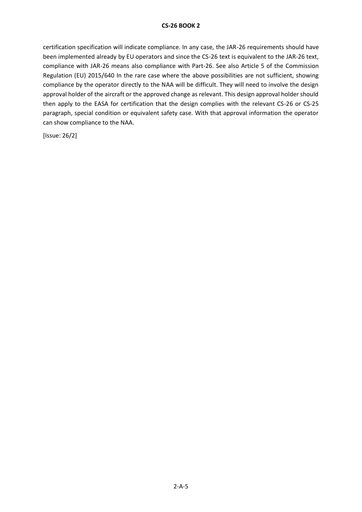# **CS-26 BOOK 2**

certification specification will indicate compliance. In any case, the JAR-26 requirements should have been implemented already by EU operators and since the CS-26 text is equivalent to the JAR-26 text, compliance with JAR-26 means also compliance with Part-26. See also Article 5 of the Commission Regulation (EU) 2015/640 In the rare case where the above possibilities are not sufficient, showing compliance by the operator directly to the NAA will be difficult. They will need to involve the design approval holder of the aircraft or the approved change as relevant. This design approval holder should then apply to the EASA for certification that the design complies with the relevant CS-26 or CS-25 paragraph, special condition or equivalent safety case. With that approval information the operator can show compliance to the NAA.

[Issue: 26/2]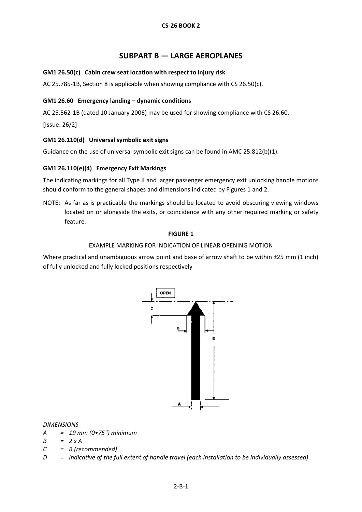# **SUBPART B — LARGE AEROPLANES**

# <span id="page-37-1"></span><span id="page-37-0"></span>**GM1 26.50(c) Cabin crew seat location with respect to injury risk**

AC 25.785-1B, Section 8 is applicable when showing compliance with CS 26.50(c).

### <span id="page-37-2"></span>**GM1 26.60 Emergency landing – dynamic conditions**

AC 25.562-1B (dated 10 January 2006) may be used for showing compliance with CS 26.60.

[Issue: 26/2]

# **GM1 26.110(d) Universal symbolic exit signs**

Guidance on the use of universal symbolic exit signs can be found in AMC 25.812(b)(1).

# <span id="page-37-3"></span>**GM1 26.110(e)(4) Emergency Exit Markings**

The indicating markings for all Type II and larger passenger emergency exit unlocking handle motions should conform to the general shapes and dimensions indicated by Figures 1 and 2.

NOTE: As far as is practicable the markings should be located to avoid obscuring viewing windows located on or alongside the exits, or coincidence with any other required marking or safety feature.

#### **FIGURE 1**

### EXAMPLE MARKING FOR INDICATION OF LINEAR OPENING MOTION

Where practical and unambiguous arrow point and base of arrow shaft to be within  $\pm 25$  mm (1 inch) of fully unlocked and fully locked positions respectively



#### *DIMENSIONS*

- *A = 19 mm (0•75") minimum*
- *B = 2 x A*
- *C = B (recommended)*
- *D = Indicative of the full extent of handle travel (each installation to be individually assessed)*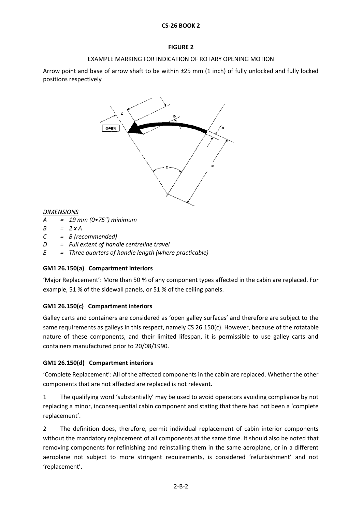# **CS-26 BOOK 2**

# **FIGURE 2**

# EXAMPLE MARKING FOR INDICATION OF ROTARY OPENING MOTION

Arrow point and base of arrow shaft to be within ±25 mm (1 inch) of fully unlocked and fully locked positions respectively



### *DIMENSIONS*

- *A = 19 mm (0•75") minimum*
- *B = 2 x A*
- *C = B (recommended)*
- *D = Full extent of handle centreline travel*
- *E = Three quarters of handle length (where practicable)*

# <span id="page-38-0"></span>**GM1 26.150(a) Compartment interiors**

'Major Replacement': More than 50 % of any component types affected in the cabin are replaced. For example, 51 % of the sidewall panels, or 51 % of the ceiling panels.

# <span id="page-38-1"></span>**GM1 26.150(c) Compartment interiors**

Galley carts and containers are considered as 'open galley surfaces' and therefore are subject to the same requirements as galleys in this respect, namely CS 26.150(c). However, because of the rotatable nature of these components, and their limited lifespan, it is permissible to use galley carts and containers manufactured prior to 20/08/1990.

# <span id="page-38-2"></span>**GM1 26.150(d) Compartment interiors**

'Complete Replacement': All of the affected components in the cabin are replaced. Whether the other components that are not affected are replaced is not relevant.

1 The qualifying word 'substantially' may be used to avoid operators avoiding compliance by not replacing a minor, inconsequential cabin component and stating that there had not been a 'complete replacement'.

2 The definition does, therefore, permit individual replacement of cabin interior components without the mandatory replacement of all components at the same time. It should also be noted that removing components for refinishing and reinstalling them in the same aeroplane, or in a different aeroplane not subject to more stringent requirements, is considered 'refurbishment' and not 'replacement'.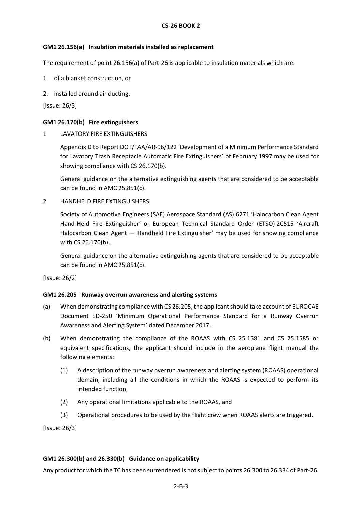### **GM1 26.156(a) Insulation materials installed as replacement**

The requirement of point 26.156(a) of Part-26 is applicable to insulation materials which are:

- 1. of a blanket construction, or
- 2. installed around air ducting.

[Issue: 26/3]

### **GM1 26.170(b) Fire extinguishers**

1 LAVATORY FIRE EXTINGUISHERS

Appendix D to Report DOT/FAA/AR-96/122 'Development of a Minimum Performance Standard for Lavatory Trash Receptacle Automatic Fire Extinguishers' of February 1997 may be used for showing compliance with CS 26.170(b).

General guidance on the alternative extinguishing agents that are considered to be acceptable can be found in AMC 25.851(c).

### 2 HANDHELD FIRE EXTINGUISHERS

Society of Automotive Engineers (SAE) Aerospace Standard (AS) 6271 'Halocarbon Clean Agent Hand-Held Fire Extinguisher' or European Technical Standard Order (ETSO) 2C515 'Aircraft Halocarbon Clean Agent — Handheld Fire Extinguisher' may be used for showing compliance with CS 26.170(b).

General guidance on the alternative extinguishing agents that are considered to be acceptable can be found in AMC 25.851(c).

[Issue: 26/2]

#### **GM1 26.205 Runway overrun awareness and alerting systems**

- (a) When demonstrating compliance with CS 26.205, the applicant should take account of EUROCAE Document ED-250 'Minimum Operational Performance Standard for a Runway Overrun Awareness and Alerting System' dated December 2017.
- (b) When demonstrating the compliance of the ROAAS with CS 25.1581 and CS 25.1585 or equivalent specifications, the applicant should include in the aeroplane flight manual the following elements:
	- (1) A description of the runway overrun awareness and alerting system (ROAAS) operational domain, including all the conditions in which the ROAAS is expected to perform its intended function,
	- (2) Any operational limitations applicable to the ROAAS, and
	- (3) Operational procedures to be used by the flight crew when ROAAS alerts are triggered.

[Issue: 26/3]

#### **GM1 26.300(b) and 26.330(b) Guidance on applicability**

Any product for which the TC has been surrendered is not subject to points 26.300 to 26.334 of Part-26.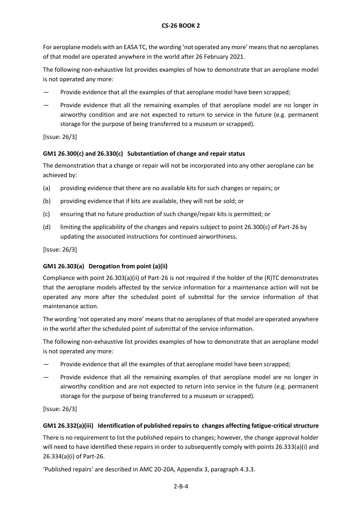# **CS-26 BOOK 2**

For aeroplane models with an EASA TC, the wording 'not operated any more' means that no aeroplanes of that model are operated anywhere in the world after 26 February 2021.

The following non-exhaustive list provides examples of how to demonstrate that an aeroplane model is not operated any more:

- Provide evidence that all the examples of that aeroplane model have been scrapped;
- Provide evidence that all the remaining examples of that aeroplane model are no longer in airworthy condition and are not expected to return to service in the future (e.g. permanent storage for the purpose of being transferred to a museum or scrapped).

[Issue: 26/3]

# **GM1 26.300(c) and 26.330(c) Substantiation of change and repair status**

The demonstration that a change or repair will not be incorporated into any other aeroplane can be achieved by:

- (a) providing evidence that there are no available kits for such changes or repairs; or
- (b) providing evidence that if kits are available, they will not be sold; or
- (c) ensuring that no future production of such change/repair kits is permitted; or
- (d) limiting the applicability of the changes and repairs subject to point 26.300(c) of Part-26 by updating the associated instructions for continued airworthiness.

[Issue: 26/3]

# **GM1 26.303(a) Derogation from point (a)(ii)**

Compliance with point 26.303(a)(ii) of Part-26 is not required if the holder of the (R)TC demonstrates that the aeroplane models affected by the service information for a maintenance action will not be operated any more after the scheduled point of submittal for the service information of that maintenance action.

The wording 'not operated any more' means that no aeroplanes of that model are operated anywhere in the world after the scheduled point of submittal of the service information.

The following non-exhaustive list provides examples of how to demonstrate that an aeroplane model is not operated any more:

- Provide evidence that all the examples of that aeroplane model have been scrapped;
- Provide evidence that all the remaining examples of that aeroplane model are no longer in airworthy condition and are not expected to return into service in the future (e.g. permanent storage for the purpose of being transferred to a museum or scrapped).

[Issue: 26/3]

# **GM1 26.332(a)(iii) Identification of published repairs to changes affecting fatigue-critical structure**

There is no requirement to list the published repairs to changes; however, the change approval holder will need to have identified these repairs in order to subsequently comply with points 26.333(a)(i) and 26.334(a)(i) of Part-26.

'Published repairs' are described in AMC 20-20A, Appendix 3, paragraph 4.3.3.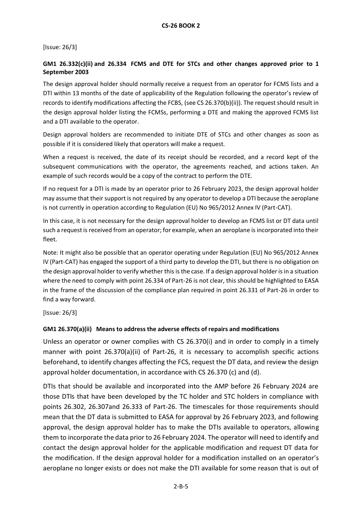# **GM1 26.332(c)(ii) and 26.334 FCMS and DTE for STCs and other changes approved prior to 1 September 2003**

The design approval holder should normally receive a request from an operator for FCMS lists and a DTI within 13 months of the date of applicability of the Regulation following the operator's review of records to identify modifications affecting the FCBS, (see CS 26.370(b)(ii)). The request should result in the design approval holder listing the FCMSs, performing a DTE and making the approved FCMS list and a DTI available to the operator.

Design approval holders are recommended to initiate DTE of STCs and other changes as soon as possible if it is considered likely that operators will make a request.

When a request is received, the date of its receipt should be recorded, and a record kept of the subsequent communications with the operator, the agreements reached, and actions taken. An example of such records would be a copy of the contract to perform the DTE.

If no request for a DTI is made by an operator prior to 26 February 2023, the design approval holder may assume that their support is not required by any operator to develop a DTI because the aeroplane is not currently in operation according to Regulation (EU) No 965/2012 Annex IV (Part-CAT).

In this case, it is not necessary for the design approval holder to develop an FCMS list or DT data until such a request is received from an operator; for example, when an aeroplane is incorporated into their fleet.

Note: It might also be possible that an operator operating under Regulation (EU) No 965/2012 Annex IV (Part-CAT) has engaged the support of a third party to develop the DTI, but there is no obligation on the design approval holder to verify whether this is the case. If a design approval holder is in a situation where the need to comply with point 26.334 of Part-26 is not clear, this should be highlighted to EASA in the frame of the discussion of the compliance plan required in point 26.331 of Part-26 in order to find a way forward.

[Issue: 26/3]

# **GM1 26.370(a)(ii) Means to address the adverse effects of repairs and modifications**

Unless an operator or owner complies with CS 26.370(i) and in order to comply in a timely manner with point 26.370(a)(ii) of Part-26, it is necessary to accomplish specific actions beforehand, to identify changes affecting the FCS, request the DT data, and review the design approval holder documentation, in accordance with CS 26.370 (c) and (d).

DTIs that should be available and incorporated into the AMP before 26 February 2024 are those DTIs that have been developed by the TC holder and STC holders in compliance with points 26.302, 26.307and 26.333 of Part-26. The timescales for those requirements should mean that the DT data is submitted to EASA for approval by 26 February 2023, and following approval, the design approval holder has to make the DTIs available to operators, allowing them to incorporate the data prior to 26 February 2024. The operator will need to identify and contact the design approval holder for the applicable modification and request DT data for the modification. If the design approval holder for a modification installed on an operator's aeroplane no longer exists or does not make the DTI available for some reason that is out of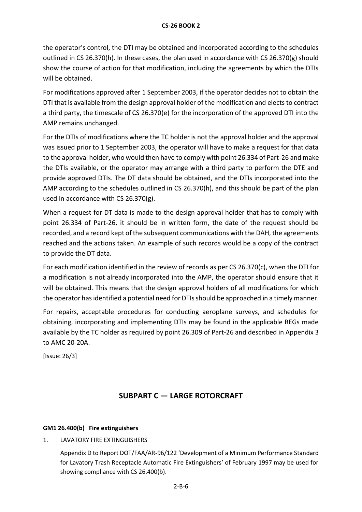the operator's control, the DTI may be obtained and incorporated according to the schedules outlined in CS 26.370(h). In these cases, the plan used in accordance with CS 26.370(g) should show the course of action for that modification, including the agreements by which the DTIs will be obtained.

For modifications approved after 1 September 2003, if the operator decides not to obtain the DTI that is available from the design approval holder of the modification and elects to contract a third party, the timescale of CS 26.370(e) for the incorporation of the approved DTI into the AMP remains unchanged.

For the DTIs of modifications where the TC holder is not the approval holder and the approval was issued prior to 1 September 2003, the operator will have to make a request for that data to the approval holder, who would then have to comply with point 26.334 of Part-26 and make the DTIs available, or the operator may arrange with a third party to perform the DTE and provide approved DTIs. The DT data should be obtained, and the DTIs incorporated into the AMP according to the schedules outlined in CS 26.370(h), and this should be part of the plan used in accordance with CS 26.370(g).

When a request for DT data is made to the design approval holder that has to comply with point 26.334 of Part-26, it should be in written form, the date of the request should be recorded, and a record kept of the subsequent communications with the DAH, the agreements reached and the actions taken. An example of such records would be a copy of the contract to provide the DT data.

For each modification identified in the review of records as per CS 26.370(c), when the DTI for a modification is not already incorporated into the AMP, the operator should ensure that it will be obtained. This means that the design approval holders of all modifications for which the operator has identified a potential need for DTIs should be approached in a timely manner.

For repairs, acceptable procedures for conducting aeroplane surveys, and schedules for obtaining, incorporating and implementing DTIs may be found in the applicable REGs made available by the TC holder as required by point 26.309 of Part-26 and described in Appendix 3 to AMC 20-20A.

[Issue: 26/3]

# **SUBPART C — LARGE ROTORCRAFT**

# **GM1 26.400(b) Fire extinguishers**

# 1. LAVATORY FIRE EXTINGUISHERS

Appendix D to Report DOT/FAA/AR-96/122 'Development of a Minimum Performance Standard for Lavatory Trash Receptacle Automatic Fire Extinguishers' of February 1997 may be used for showing compliance with CS 26.400(b).